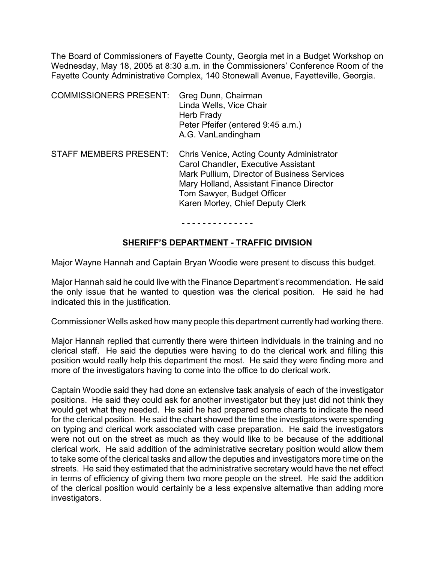The Board of Commissioners of Fayette County, Georgia met in a Budget Workshop on Wednesday, May 18, 2005 at 8:30 a.m. in the Commissioners' Conference Room of the Fayette County Administrative Complex, 140 Stonewall Avenue, Fayetteville, Georgia.

| <b>COMMISSIONERS PRESENT:</b> | Greg Dunn, Chairman<br>Linda Wells, Vice Chair<br>Herb Frady<br>Peter Pfeifer (entered 9:45 a.m.)<br>A.G. VanLandingham                                                                                                                                                                                                                                                                 |
|-------------------------------|-----------------------------------------------------------------------------------------------------------------------------------------------------------------------------------------------------------------------------------------------------------------------------------------------------------------------------------------------------------------------------------------|
|                               | $\overline{\mathsf{OPT}}$ is a set of $\overline{\mathsf{OPT}}$ of $\overline{\mathsf{OPT}}$ . Then $\overline{\mathsf{OPT}}$ is a set of $\overline{\mathsf{OPT}}$ is a set of $\overline{\mathsf{OPT}}$ is a set of $\overline{\mathsf{OPT}}$ is a set of $\overline{\mathsf{OPT}}$ in $\overline{\mathsf{OPT}}$ is a set of $\overline{\mathsf{OPT}}$ in $\overline{\mathsf{OPT}}$ i |

STAFF MEMBERS PRESENT: Chris Venice, Acting County Administrator Carol Chandler, Executive Assistant Mark Pullium, Director of Business Services Mary Holland, Assistant Finance Director Tom Sawyer, Budget Officer Karen Morley, Chief Deputy Clerk

- - - - - - - - - - - - - -

### **SHERIFF'S DEPARTMENT - TRAFFIC DIVISION**

Major Wayne Hannah and Captain Bryan Woodie were present to discuss this budget.

Major Hannah said he could live with the Finance Department's recommendation. He said the only issue that he wanted to question was the clerical position. He said he had indicated this in the justification.

Commissioner Wells asked how many people this department currently had working there.

Major Hannah replied that currently there were thirteen individuals in the training and no clerical staff. He said the deputies were having to do the clerical work and filling this position would really help this department the most. He said they were finding more and more of the investigators having to come into the office to do clerical work.

Captain Woodie said they had done an extensive task analysis of each of the investigator positions. He said they could ask for another investigator but they just did not think they would get what they needed. He said he had prepared some charts to indicate the need for the clerical position. He said the chart showed the time the investigators were spending on typing and clerical work associated with case preparation. He said the investigators were not out on the street as much as they would like to be because of the additional clerical work. He said addition of the administrative secretary position would allow them to take some of the clerical tasks and allow the deputies and investigators more time on the streets. He said they estimated that the administrative secretary would have the net effect in terms of efficiency of giving them two more people on the street. He said the addition of the clerical position would certainly be a less expensive alternative than adding more investigators.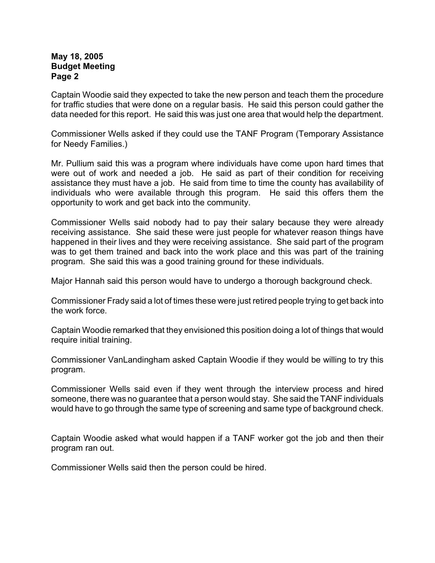Captain Woodie said they expected to take the new person and teach them the procedure for traffic studies that were done on a regular basis. He said this person could gather the data needed for this report. He said this was just one area that would help the department.

Commissioner Wells asked if they could use the TANF Program (Temporary Assistance for Needy Families.)

Mr. Pullium said this was a program where individuals have come upon hard times that were out of work and needed a job. He said as part of their condition for receiving assistance they must have a job. He said from time to time the county has availability of individuals who were available through this program. He said this offers them the opportunity to work and get back into the community.

Commissioner Wells said nobody had to pay their salary because they were already receiving assistance. She said these were just people for whatever reason things have happened in their lives and they were receiving assistance. She said part of the program was to get them trained and back into the work place and this was part of the training program. She said this was a good training ground for these individuals.

Major Hannah said this person would have to undergo a thorough background check.

Commissioner Frady said a lot of times these were just retired people trying to get back into the work force.

Captain Woodie remarked that they envisioned this position doing a lot of things that would require initial training.

Commissioner VanLandingham asked Captain Woodie if they would be willing to try this program.

Commissioner Wells said even if they went through the interview process and hired someone, there was no guarantee that a person would stay. She said the TANF individuals would have to go through the same type of screening and same type of background check.

Captain Woodie asked what would happen if a TANF worker got the job and then their program ran out.

Commissioner Wells said then the person could be hired.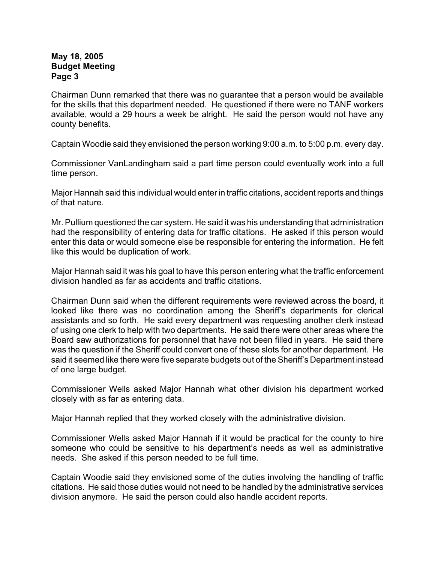Chairman Dunn remarked that there was no guarantee that a person would be available for the skills that this department needed. He questioned if there were no TANF workers available, would a 29 hours a week be alright. He said the person would not have any county benefits.

Captain Woodie said they envisioned the person working 9:00 a.m. to 5:00 p.m. every day.

Commissioner VanLandingham said a part time person could eventually work into a full time person.

Major Hannah said this individual would enter in traffic citations, accident reports and things of that nature.

Mr. Pullium questioned the car system. He said it was his understanding that administration had the responsibility of entering data for traffic citations. He asked if this person would enter this data or would someone else be responsible for entering the information. He felt like this would be duplication of work.

Major Hannah said it was his goal to have this person entering what the traffic enforcement division handled as far as accidents and traffic citations.

Chairman Dunn said when the different requirements were reviewed across the board, it looked like there was no coordination among the Sheriff's departments for clerical assistants and so forth. He said every department was requesting another clerk instead of using one clerk to help with two departments. He said there were other areas where the Board saw authorizations for personnel that have not been filled in years. He said there was the question if the Sheriff could convert one of these slots for another department. He said it seemed like there were five separate budgets out of the Sheriff's Department instead of one large budget.

Commissioner Wells asked Major Hannah what other division his department worked closely with as far as entering data.

Major Hannah replied that they worked closely with the administrative division.

Commissioner Wells asked Major Hannah if it would be practical for the county to hire someone who could be sensitive to his department's needs as well as administrative needs. She asked if this person needed to be full time.

Captain Woodie said they envisioned some of the duties involving the handling of traffic citations. He said those duties would not need to be handled by the administrative services division anymore. He said the person could also handle accident reports.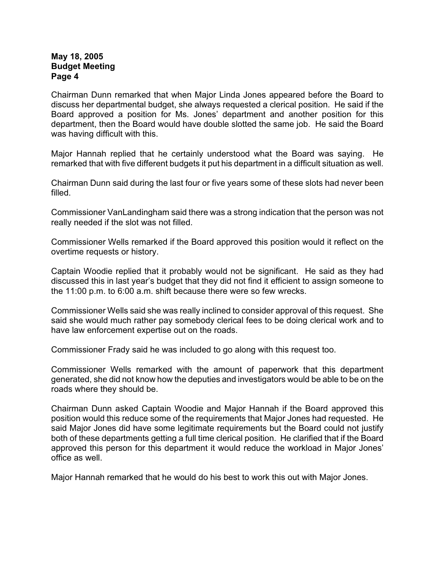Chairman Dunn remarked that when Major Linda Jones appeared before the Board to discuss her departmental budget, she always requested a clerical position. He said if the Board approved a position for Ms. Jones' department and another position for this department, then the Board would have double slotted the same job. He said the Board was having difficult with this.

Major Hannah replied that he certainly understood what the Board was saying. He remarked that with five different budgets it put his department in a difficult situation as well.

Chairman Dunn said during the last four or five years some of these slots had never been filled.

Commissioner VanLandingham said there was a strong indication that the person was not really needed if the slot was not filled.

Commissioner Wells remarked if the Board approved this position would it reflect on the overtime requests or history.

Captain Woodie replied that it probably would not be significant. He said as they had discussed this in last year's budget that they did not find it efficient to assign someone to the 11:00 p.m. to 6:00 a.m. shift because there were so few wrecks.

Commissioner Wells said she was really inclined to consider approval of this request. She said she would much rather pay somebody clerical fees to be doing clerical work and to have law enforcement expertise out on the roads.

Commissioner Frady said he was included to go along with this request too.

Commissioner Wells remarked with the amount of paperwork that this department generated, she did not know how the deputies and investigators would be able to be on the roads where they should be.

Chairman Dunn asked Captain Woodie and Major Hannah if the Board approved this position would this reduce some of the requirements that Major Jones had requested. He said Major Jones did have some legitimate requirements but the Board could not justify both of these departments getting a full time clerical position. He clarified that if the Board approved this person for this department it would reduce the workload in Major Jones' office as well.

Major Hannah remarked that he would do his best to work this out with Major Jones.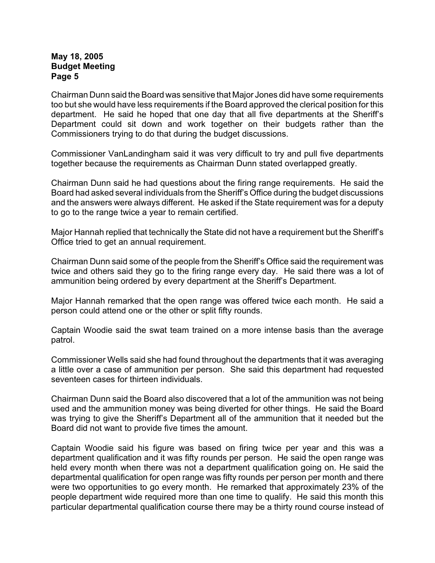Chairman Dunn said the Board was sensitive that Major Jones did have some requirements too but she would have less requirements if the Board approved the clerical position for this department. He said he hoped that one day that all five departments at the Sheriff's Department could sit down and work together on their budgets rather than the Commissioners trying to do that during the budget discussions.

Commissioner VanLandingham said it was very difficult to try and pull five departments together because the requirements as Chairman Dunn stated overlapped greatly.

Chairman Dunn said he had questions about the firing range requirements. He said the Board had asked several individuals from the Sheriff's Office during the budget discussions and the answers were always different. He asked if the State requirement was for a deputy to go to the range twice a year to remain certified.

Major Hannah replied that technically the State did not have a requirement but the Sheriff's Office tried to get an annual requirement.

Chairman Dunn said some of the people from the Sheriff's Office said the requirement was twice and others said they go to the firing range every day. He said there was a lot of ammunition being ordered by every department at the Sheriff's Department.

Major Hannah remarked that the open range was offered twice each month. He said a person could attend one or the other or split fifty rounds.

Captain Woodie said the swat team trained on a more intense basis than the average patrol.

Commissioner Wells said she had found throughout the departments that it was averaging a little over a case of ammunition per person. She said this department had requested seventeen cases for thirteen individuals.

Chairman Dunn said the Board also discovered that a lot of the ammunition was not being used and the ammunition money was being diverted for other things. He said the Board was trying to give the Sheriff's Department all of the ammunition that it needed but the Board did not want to provide five times the amount.

Captain Woodie said his figure was based on firing twice per year and this was a department qualification and it was fifty rounds per person. He said the open range was held every month when there was not a department qualification going on. He said the departmental qualification for open range was fifty rounds per person per month and there were two opportunities to go every month. He remarked that approximately 23% of the people department wide required more than one time to qualify. He said this month this particular departmental qualification course there may be a thirty round course instead of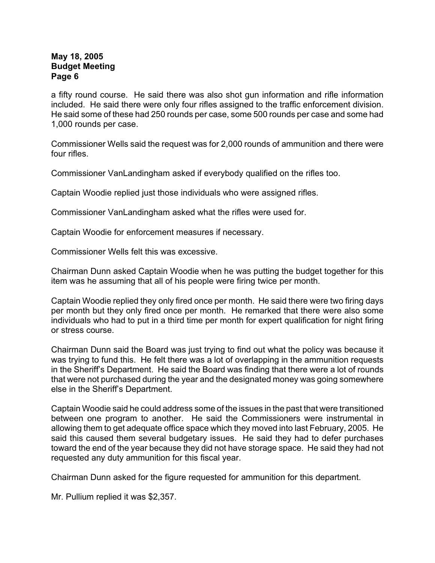a fifty round course. He said there was also shot gun information and rifle information included. He said there were only four rifles assigned to the traffic enforcement division. He said some of these had 250 rounds per case, some 500 rounds per case and some had 1,000 rounds per case.

Commissioner Wells said the request was for 2,000 rounds of ammunition and there were four rifles.

Commissioner VanLandingham asked if everybody qualified on the rifles too.

Captain Woodie replied just those individuals who were assigned rifles.

Commissioner VanLandingham asked what the rifles were used for.

Captain Woodie for enforcement measures if necessary.

Commissioner Wells felt this was excessive.

Chairman Dunn asked Captain Woodie when he was putting the budget together for this item was he assuming that all of his people were firing twice per month.

Captain Woodie replied they only fired once per month. He said there were two firing days per month but they only fired once per month. He remarked that there were also some individuals who had to put in a third time per month for expert qualification for night firing or stress course.

Chairman Dunn said the Board was just trying to find out what the policy was because it was trying to fund this. He felt there was a lot of overlapping in the ammunition requests in the Sheriff's Department. He said the Board was finding that there were a lot of rounds that were not purchased during the year and the designated money was going somewhere else in the Sheriff's Department.

Captain Woodie said he could address some of the issues in the past that were transitioned between one program to another. He said the Commissioners were instrumental in allowing them to get adequate office space which they moved into last February, 2005. He said this caused them several budgetary issues. He said they had to defer purchases toward the end of the year because they did not have storage space. He said they had not requested any duty ammunition for this fiscal year.

Chairman Dunn asked for the figure requested for ammunition for this department.

Mr. Pullium replied it was \$2,357.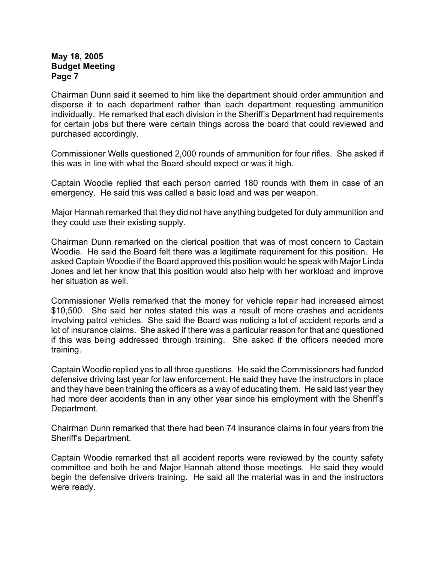Chairman Dunn said it seemed to him like the department should order ammunition and disperse it to each department rather than each department requesting ammunition individually. He remarked that each division in the Sheriff's Department had requirements for certain jobs but there were certain things across the board that could reviewed and purchased accordingly.

Commissioner Wells questioned 2,000 rounds of ammunition for four rifles. She asked if this was in line with what the Board should expect or was it high.

Captain Woodie replied that each person carried 180 rounds with them in case of an emergency. He said this was called a basic load and was per weapon.

Major Hannah remarked that they did not have anything budgeted for duty ammunition and they could use their existing supply.

Chairman Dunn remarked on the clerical position that was of most concern to Captain Woodie. He said the Board felt there was a legitimate requirement for this position. He asked Captain Woodie if the Board approved this position would he speak with Major Linda Jones and let her know that this position would also help with her workload and improve her situation as well.

Commissioner Wells remarked that the money for vehicle repair had increased almost \$10,500. She said her notes stated this was a result of more crashes and accidents involving patrol vehicles. She said the Board was noticing a lot of accident reports and a lot of insurance claims. She asked if there was a particular reason for that and questioned if this was being addressed through training. She asked if the officers needed more training.

Captain Woodie replied yes to all three questions. He said the Commissioners had funded defensive driving last year for law enforcement. He said they have the instructors in place and they have been training the officers as a way of educating them. He said last year they had more deer accidents than in any other year since his employment with the Sheriff's Department.

Chairman Dunn remarked that there had been 74 insurance claims in four years from the Sheriff's Department.

Captain Woodie remarked that all accident reports were reviewed by the county safety committee and both he and Major Hannah attend those meetings. He said they would begin the defensive drivers training. He said all the material was in and the instructors were ready.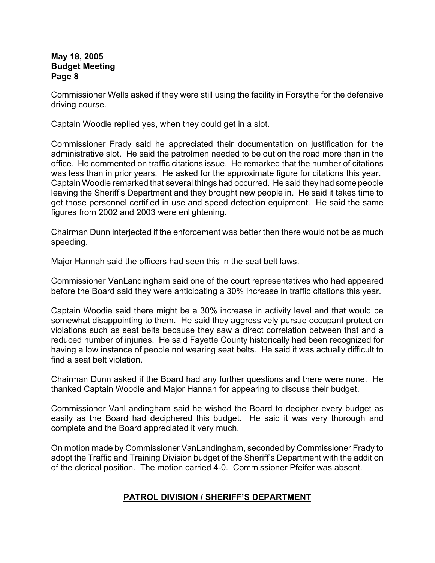Commissioner Wells asked if they were still using the facility in Forsythe for the defensive driving course.

Captain Woodie replied yes, when they could get in a slot.

Commissioner Frady said he appreciated their documentation on justification for the administrative slot. He said the patrolmen needed to be out on the road more than in the office. He commented on traffic citations issue. He remarked that the number of citations was less than in prior years. He asked for the approximate figure for citations this year. Captain Woodie remarked that several things had occurred. He said they had some people leaving the Sheriff's Department and they brought new people in. He said it takes time to get those personnel certified in use and speed detection equipment. He said the same figures from 2002 and 2003 were enlightening.

Chairman Dunn interjected if the enforcement was better then there would not be as much speeding.

Major Hannah said the officers had seen this in the seat belt laws.

Commissioner VanLandingham said one of the court representatives who had appeared before the Board said they were anticipating a 30% increase in traffic citations this year.

Captain Woodie said there might be a 30% increase in activity level and that would be somewhat disappointing to them. He said they aggressively pursue occupant protection violations such as seat belts because they saw a direct correlation between that and a reduced number of injuries. He said Fayette County historically had been recognized for having a low instance of people not wearing seat belts. He said it was actually difficult to find a seat belt violation.

Chairman Dunn asked if the Board had any further questions and there were none. He thanked Captain Woodie and Major Hannah for appearing to discuss their budget.

Commissioner VanLandingham said he wished the Board to decipher every budget as easily as the Board had deciphered this budget. He said it was very thorough and complete and the Board appreciated it very much.

On motion made by Commissioner VanLandingham, seconded by Commissioner Frady to adopt the Traffic and Training Division budget of the Sheriff's Department with the addition of the clerical position. The motion carried 4-0. Commissioner Pfeifer was absent.

### **PATROL DIVISION / SHERIFF'S DEPARTMENT**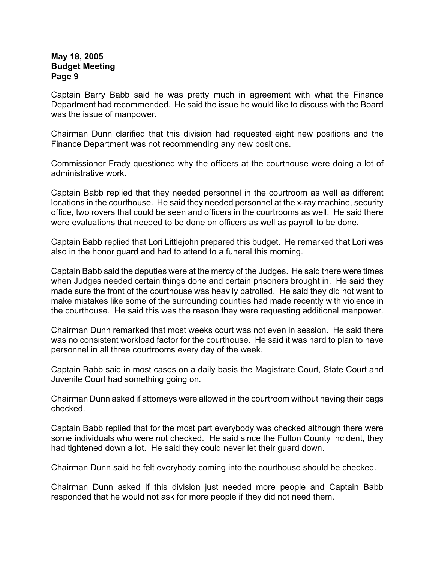Captain Barry Babb said he was pretty much in agreement with what the Finance Department had recommended. He said the issue he would like to discuss with the Board was the issue of manpower.

Chairman Dunn clarified that this division had requested eight new positions and the Finance Department was not recommending any new positions.

Commissioner Frady questioned why the officers at the courthouse were doing a lot of administrative work.

Captain Babb replied that they needed personnel in the courtroom as well as different locations in the courthouse. He said they needed personnel at the x-ray machine, security office, two rovers that could be seen and officers in the courtrooms as well. He said there were evaluations that needed to be done on officers as well as payroll to be done.

Captain Babb replied that Lori Littlejohn prepared this budget. He remarked that Lori was also in the honor guard and had to attend to a funeral this morning.

Captain Babb said the deputies were at the mercy of the Judges. He said there were times when Judges needed certain things done and certain prisoners brought in. He said they made sure the front of the courthouse was heavily patrolled. He said they did not want to make mistakes like some of the surrounding counties had made recently with violence in the courthouse. He said this was the reason they were requesting additional manpower.

Chairman Dunn remarked that most weeks court was not even in session. He said there was no consistent workload factor for the courthouse. He said it was hard to plan to have personnel in all three courtrooms every day of the week.

Captain Babb said in most cases on a daily basis the Magistrate Court, State Court and Juvenile Court had something going on.

Chairman Dunn asked if attorneys were allowed in the courtroom without having their bags checked.

Captain Babb replied that for the most part everybody was checked although there were some individuals who were not checked. He said since the Fulton County incident, they had tightened down a lot. He said they could never let their guard down.

Chairman Dunn said he felt everybody coming into the courthouse should be checked.

Chairman Dunn asked if this division just needed more people and Captain Babb responded that he would not ask for more people if they did not need them.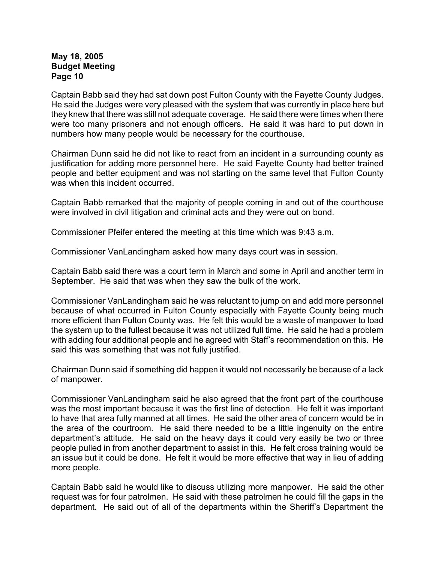Captain Babb said they had sat down post Fulton County with the Fayette County Judges. He said the Judges were very pleased with the system that was currently in place here but they knew that there was still not adequate coverage. He said there were times when there were too many prisoners and not enough officers. He said it was hard to put down in numbers how many people would be necessary for the courthouse.

Chairman Dunn said he did not like to react from an incident in a surrounding county as justification for adding more personnel here. He said Fayette County had better trained people and better equipment and was not starting on the same level that Fulton County was when this incident occurred.

Captain Babb remarked that the majority of people coming in and out of the courthouse were involved in civil litigation and criminal acts and they were out on bond.

Commissioner Pfeifer entered the meeting at this time which was 9:43 a.m.

Commissioner VanLandingham asked how many days court was in session.

Captain Babb said there was a court term in March and some in April and another term in September. He said that was when they saw the bulk of the work.

Commissioner VanLandingham said he was reluctant to jump on and add more personnel because of what occurred in Fulton County especially with Fayette County being much more efficient than Fulton County was. He felt this would be a waste of manpower to load the system up to the fullest because it was not utilized full time. He said he had a problem with adding four additional people and he agreed with Staff's recommendation on this. He said this was something that was not fully justified.

Chairman Dunn said if something did happen it would not necessarily be because of a lack of manpower.

Commissioner VanLandingham said he also agreed that the front part of the courthouse was the most important because it was the first line of detection. He felt it was important to have that area fully manned at all times. He said the other area of concern would be in the area of the courtroom. He said there needed to be a little ingenuity on the entire department's attitude. He said on the heavy days it could very easily be two or three people pulled in from another department to assist in this. He felt cross training would be an issue but it could be done. He felt it would be more effective that way in lieu of adding more people.

Captain Babb said he would like to discuss utilizing more manpower. He said the other request was for four patrolmen. He said with these patrolmen he could fill the gaps in the department. He said out of all of the departments within the Sheriff's Department the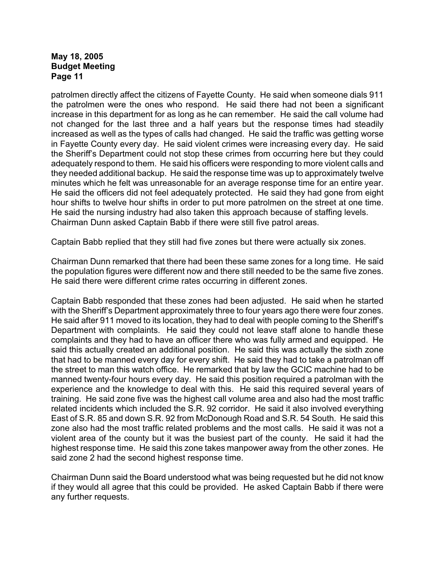patrolmen directly affect the citizens of Fayette County. He said when someone dials 911 the patrolmen were the ones who respond. He said there had not been a significant increase in this department for as long as he can remember. He said the call volume had not changed for the last three and a half years but the response times had steadily increased as well as the types of calls had changed. He said the traffic was getting worse in Fayette County every day. He said violent crimes were increasing every day. He said the Sheriff's Department could not stop these crimes from occurring here but they could adequately respond to them. He said his officers were responding to more violent calls and they needed additional backup. He said the response time was up to approximately twelve minutes which he felt was unreasonable for an average response time for an entire year. He said the officers did not feel adequately protected. He said they had gone from eight hour shifts to twelve hour shifts in order to put more patrolmen on the street at one time. He said the nursing industry had also taken this approach because of staffing levels. Chairman Dunn asked Captain Babb if there were still five patrol areas.

Captain Babb replied that they still had five zones but there were actually six zones.

Chairman Dunn remarked that there had been these same zones for a long time. He said the population figures were different now and there still needed to be the same five zones. He said there were different crime rates occurring in different zones.

Captain Babb responded that these zones had been adjusted. He said when he started with the Sheriff's Department approximately three to four years ago there were four zones. He said after 911 moved to its location, they had to deal with people coming to the Sheriff's Department with complaints. He said they could not leave staff alone to handle these complaints and they had to have an officer there who was fully armed and equipped. He said this actually created an additional position. He said this was actually the sixth zone that had to be manned every day for every shift. He said they had to take a patrolman off the street to man this watch office. He remarked that by law the GCIC machine had to be manned twenty-four hours every day. He said this position required a patrolman with the experience and the knowledge to deal with this. He said this required several years of training. He said zone five was the highest call volume area and also had the most traffic related incidents which included the S.R. 92 corridor. He said it also involved everything East of S.R. 85 and down S.R. 92 from McDonough Road and S.R. 54 South. He said this zone also had the most traffic related problems and the most calls. He said it was not a violent area of the county but it was the busiest part of the county. He said it had the highest response time. He said this zone takes manpower away from the other zones. He said zone 2 had the second highest response time.

Chairman Dunn said the Board understood what was being requested but he did not know if they would all agree that this could be provided. He asked Captain Babb if there were any further requests.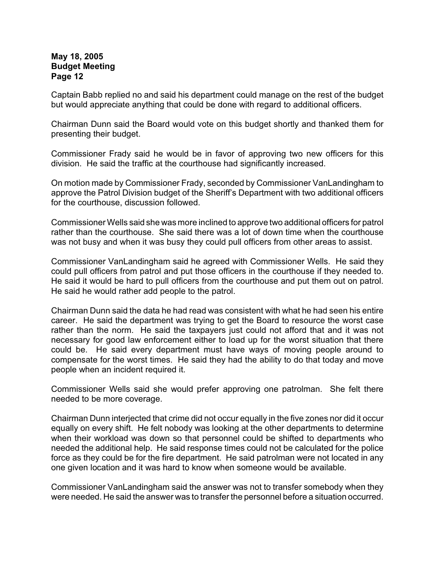Captain Babb replied no and said his department could manage on the rest of the budget but would appreciate anything that could be done with regard to additional officers.

Chairman Dunn said the Board would vote on this budget shortly and thanked them for presenting their budget.

Commissioner Frady said he would be in favor of approving two new officers for this division. He said the traffic at the courthouse had significantly increased.

On motion made by Commissioner Frady, seconded by Commissioner VanLandingham to approve the Patrol Division budget of the Sheriff's Department with two additional officers for the courthouse, discussion followed.

Commissioner Wells said she was more inclined to approve two additional officers for patrol rather than the courthouse. She said there was a lot of down time when the courthouse was not busy and when it was busy they could pull officers from other areas to assist.

Commissioner VanLandingham said he agreed with Commissioner Wells. He said they could pull officers from patrol and put those officers in the courthouse if they needed to. He said it would be hard to pull officers from the courthouse and put them out on patrol. He said he would rather add people to the patrol.

Chairman Dunn said the data he had read was consistent with what he had seen his entire career. He said the department was trying to get the Board to resource the worst case rather than the norm. He said the taxpayers just could not afford that and it was not necessary for good law enforcement either to load up for the worst situation that there could be. He said every department must have ways of moving people around to compensate for the worst times. He said they had the ability to do that today and move people when an incident required it.

Commissioner Wells said she would prefer approving one patrolman. She felt there needed to be more coverage.

Chairman Dunn interjected that crime did not occur equally in the five zones nor did it occur equally on every shift. He felt nobody was looking at the other departments to determine when their workload was down so that personnel could be shifted to departments who needed the additional help. He said response times could not be calculated for the police force as they could be for the fire department. He said patrolman were not located in any one given location and it was hard to know when someone would be available.

Commissioner VanLandingham said the answer was not to transfer somebody when they were needed. He said the answer was to transfer the personnel before a situation occurred.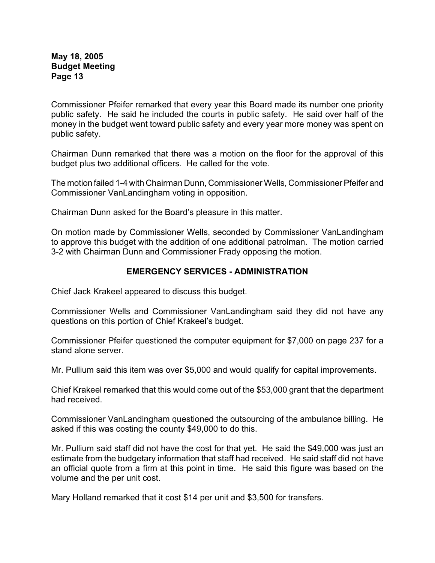Commissioner Pfeifer remarked that every year this Board made its number one priority public safety. He said he included the courts in public safety. He said over half of the money in the budget went toward public safety and every year more money was spent on public safety.

Chairman Dunn remarked that there was a motion on the floor for the approval of this budget plus two additional officers. He called for the vote.

The motion failed 1-4 with Chairman Dunn, Commissioner Wells, Commissioner Pfeifer and Commissioner VanLandingham voting in opposition.

Chairman Dunn asked for the Board's pleasure in this matter.

On motion made by Commissioner Wells, seconded by Commissioner VanLandingham to approve this budget with the addition of one additional patrolman. The motion carried 3-2 with Chairman Dunn and Commissioner Frady opposing the motion.

### **EMERGENCY SERVICES - ADMINISTRATION**

Chief Jack Krakeel appeared to discuss this budget.

Commissioner Wells and Commissioner VanLandingham said they did not have any questions on this portion of Chief Krakeel's budget.

Commissioner Pfeifer questioned the computer equipment for \$7,000 on page 237 for a stand alone server.

Mr. Pullium said this item was over \$5,000 and would qualify for capital improvements.

Chief Krakeel remarked that this would come out of the \$53,000 grant that the department had received.

Commissioner VanLandingham questioned the outsourcing of the ambulance billing. He asked if this was costing the county \$49,000 to do this.

Mr. Pullium said staff did not have the cost for that yet. He said the \$49,000 was just an estimate from the budgetary information that staff had received. He said staff did not have an official quote from a firm at this point in time. He said this figure was based on the volume and the per unit cost.

Mary Holland remarked that it cost \$14 per unit and \$3,500 for transfers.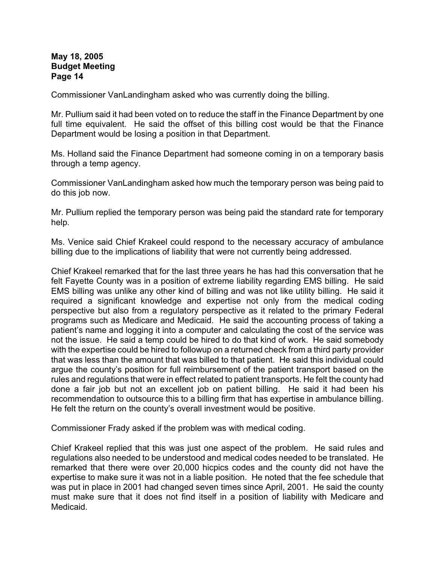Commissioner VanLandingham asked who was currently doing the billing.

Mr. Pullium said it had been voted on to reduce the staff in the Finance Department by one full time equivalent. He said the offset of this billing cost would be that the Finance Department would be losing a position in that Department.

Ms. Holland said the Finance Department had someone coming in on a temporary basis through a temp agency.

Commissioner VanLandingham asked how much the temporary person was being paid to do this job now.

Mr. Pullium replied the temporary person was being paid the standard rate for temporary help.

Ms. Venice said Chief Krakeel could respond to the necessary accuracy of ambulance billing due to the implications of liability that were not currently being addressed.

Chief Krakeel remarked that for the last three years he has had this conversation that he felt Fayette County was in a position of extreme liability regarding EMS billing. He said EMS billing was unlike any other kind of billing and was not like utility billing. He said it required a significant knowledge and expertise not only from the medical coding perspective but also from a regulatory perspective as it related to the primary Federal programs such as Medicare and Medicaid. He said the accounting process of taking a patient's name and logging it into a computer and calculating the cost of the service was not the issue. He said a temp could be hired to do that kind of work. He said somebody with the expertise could be hired to followup on a returned check from a third party provider that was less than the amount that was billed to that patient. He said this individual could argue the county's position for full reimbursement of the patient transport based on the rules and regulations that were in effect related to patient transports. He felt the county had done a fair job but not an excellent job on patient billing. He said it had been his recommendation to outsource this to a billing firm that has expertise in ambulance billing. He felt the return on the county's overall investment would be positive.

Commissioner Frady asked if the problem was with medical coding.

Chief Krakeel replied that this was just one aspect of the problem. He said rules and regulations also needed to be understood and medical codes needed to be translated. He remarked that there were over 20,000 hicpics codes and the county did not have the expertise to make sure it was not in a liable position. He noted that the fee schedule that was put in place in 2001 had changed seven times since April, 2001. He said the county must make sure that it does not find itself in a position of liability with Medicare and Medicaid.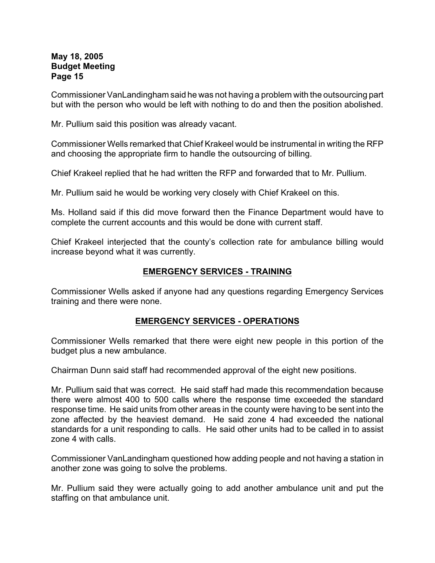Commissioner VanLandingham said he was not having a problem with the outsourcing part but with the person who would be left with nothing to do and then the position abolished.

Mr. Pullium said this position was already vacant.

Commissioner Wells remarked that Chief Krakeel would be instrumental in writing the RFP and choosing the appropriate firm to handle the outsourcing of billing.

Chief Krakeel replied that he had written the RFP and forwarded that to Mr. Pullium.

Mr. Pullium said he would be working very closely with Chief Krakeel on this.

Ms. Holland said if this did move forward then the Finance Department would have to complete the current accounts and this would be done with current staff.

Chief Krakeel interjected that the county's collection rate for ambulance billing would increase beyond what it was currently.

### **EMERGENCY SERVICES - TRAINING**

Commissioner Wells asked if anyone had any questions regarding Emergency Services training and there were none.

### **EMERGENCY SERVICES - OPERATIONS**

Commissioner Wells remarked that there were eight new people in this portion of the budget plus a new ambulance.

Chairman Dunn said staff had recommended approval of the eight new positions.

Mr. Pullium said that was correct. He said staff had made this recommendation because there were almost 400 to 500 calls where the response time exceeded the standard response time. He said units from other areas in the county were having to be sent into the zone affected by the heaviest demand. He said zone 4 had exceeded the national standards for a unit responding to calls. He said other units had to be called in to assist zone 4 with calls.

Commissioner VanLandingham questioned how adding people and not having a station in another zone was going to solve the problems.

Mr. Pullium said they were actually going to add another ambulance unit and put the staffing on that ambulance unit.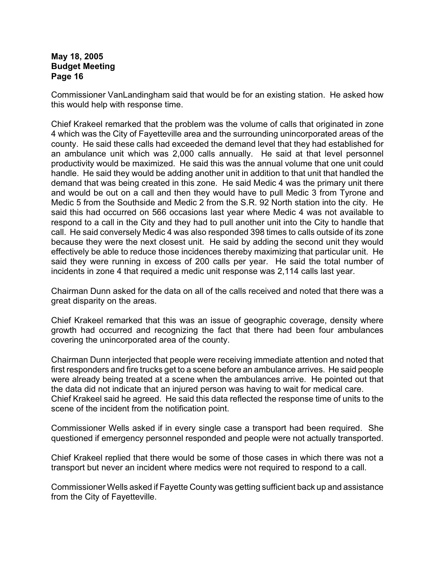Commissioner VanLandingham said that would be for an existing station. He asked how this would help with response time.

Chief Krakeel remarked that the problem was the volume of calls that originated in zone 4 which was the City of Fayetteville area and the surrounding unincorporated areas of the county. He said these calls had exceeded the demand level that they had established for an ambulance unit which was 2,000 calls annually. He said at that level personnel productivity would be maximized. He said this was the annual volume that one unit could handle. He said they would be adding another unit in addition to that unit that handled the demand that was being created in this zone. He said Medic 4 was the primary unit there and would be out on a call and then they would have to pull Medic 3 from Tyrone and Medic 5 from the Southside and Medic 2 from the S.R. 92 North station into the city. He said this had occurred on 566 occasions last year where Medic 4 was not available to respond to a call in the City and they had to pull another unit into the City to handle that call. He said conversely Medic 4 was also responded 398 times to calls outside of its zone because they were the next closest unit. He said by adding the second unit they would effectively be able to reduce those incidences thereby maximizing that particular unit. He said they were running in excess of 200 calls per year. He said the total number of incidents in zone 4 that required a medic unit response was 2,114 calls last year.

Chairman Dunn asked for the data on all of the calls received and noted that there was a great disparity on the areas.

Chief Krakeel remarked that this was an issue of geographic coverage, density where growth had occurred and recognizing the fact that there had been four ambulances covering the unincorporated area of the county.

Chairman Dunn interjected that people were receiving immediate attention and noted that first responders and fire trucks get to a scene before an ambulance arrives. He said people were already being treated at a scene when the ambulances arrive. He pointed out that the data did not indicate that an injured person was having to wait for medical care. Chief Krakeel said he agreed. He said this data reflected the response time of units to the scene of the incident from the notification point.

Commissioner Wells asked if in every single case a transport had been required. She questioned if emergency personnel responded and people were not actually transported.

Chief Krakeel replied that there would be some of those cases in which there was not a transport but never an incident where medics were not required to respond to a call.

Commissioner Wells asked if Fayette County was getting sufficient back up and assistance from the City of Fayetteville.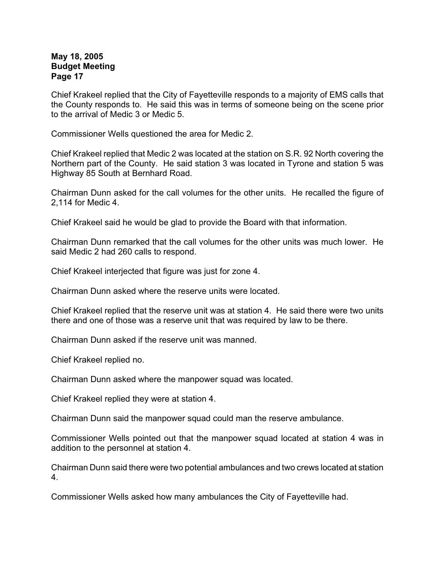Chief Krakeel replied that the City of Fayetteville responds to a majority of EMS calls that the County responds to. He said this was in terms of someone being on the scene prior to the arrival of Medic 3 or Medic 5.

Commissioner Wells questioned the area for Medic 2.

Chief Krakeel replied that Medic 2 was located at the station on S.R. 92 North covering the Northern part of the County. He said station 3 was located in Tyrone and station 5 was Highway 85 South at Bernhard Road.

Chairman Dunn asked for the call volumes for the other units. He recalled the figure of 2,114 for Medic 4.

Chief Krakeel said he would be glad to provide the Board with that information.

Chairman Dunn remarked that the call volumes for the other units was much lower. He said Medic 2 had 260 calls to respond.

Chief Krakeel interjected that figure was just for zone 4.

Chairman Dunn asked where the reserve units were located.

Chief Krakeel replied that the reserve unit was at station 4. He said there were two units there and one of those was a reserve unit that was required by law to be there.

Chairman Dunn asked if the reserve unit was manned.

Chief Krakeel replied no.

Chairman Dunn asked where the manpower squad was located.

Chief Krakeel replied they were at station 4.

Chairman Dunn said the manpower squad could man the reserve ambulance.

Commissioner Wells pointed out that the manpower squad located at station 4 was in addition to the personnel at station 4.

Chairman Dunn said there were two potential ambulances and two crews located at station 4.

Commissioner Wells asked how many ambulances the City of Fayetteville had.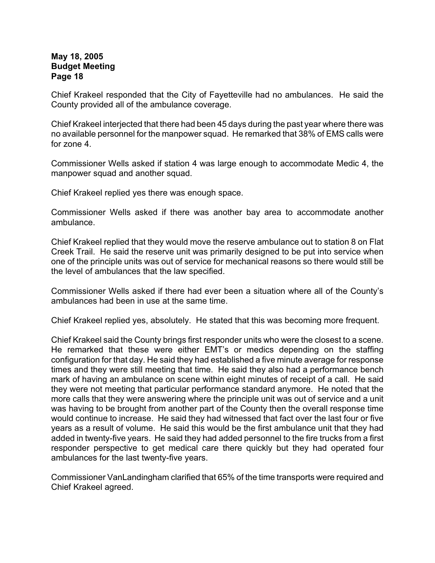Chief Krakeel responded that the City of Fayetteville had no ambulances. He said the County provided all of the ambulance coverage.

Chief Krakeel interjected that there had been 45 days during the past year where there was no available personnel for the manpower squad. He remarked that 38% of EMS calls were for zone 4.

Commissioner Wells asked if station 4 was large enough to accommodate Medic 4, the manpower squad and another squad.

Chief Krakeel replied yes there was enough space.

Commissioner Wells asked if there was another bay area to accommodate another ambulance.

Chief Krakeel replied that they would move the reserve ambulance out to station 8 on Flat Creek Trail. He said the reserve unit was primarily designed to be put into service when one of the principle units was out of service for mechanical reasons so there would still be the level of ambulances that the law specified.

Commissioner Wells asked if there had ever been a situation where all of the County's ambulances had been in use at the same time.

Chief Krakeel replied yes, absolutely. He stated that this was becoming more frequent.

Chief Krakeel said the County brings first responder units who were the closest to a scene. He remarked that these were either EMT's or medics depending on the staffing configuration for that day. He said they had established a five minute average for response times and they were still meeting that time. He said they also had a performance bench mark of having an ambulance on scene within eight minutes of receipt of a call. He said they were not meeting that particular performance standard anymore. He noted that the more calls that they were answering where the principle unit was out of service and a unit was having to be brought from another part of the County then the overall response time would continue to increase. He said they had witnessed that fact over the last four or five years as a result of volume. He said this would be the first ambulance unit that they had added in twenty-five years. He said they had added personnel to the fire trucks from a first responder perspective to get medical care there quickly but they had operated four ambulances for the last twenty-five years.

Commissioner VanLandingham clarified that 65% of the time transports were required and Chief Krakeel agreed.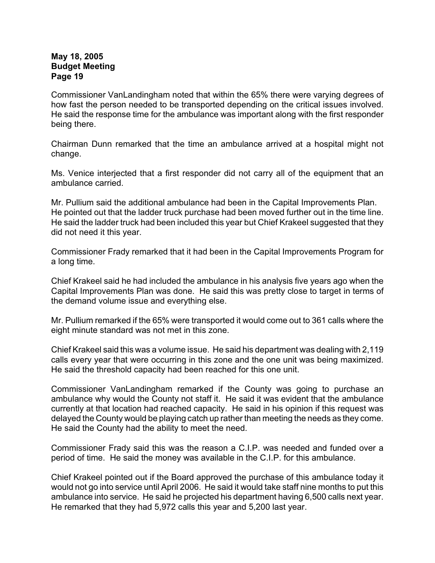Commissioner VanLandingham noted that within the 65% there were varying degrees of how fast the person needed to be transported depending on the critical issues involved. He said the response time for the ambulance was important along with the first responder being there.

Chairman Dunn remarked that the time an ambulance arrived at a hospital might not change.

Ms. Venice interjected that a first responder did not carry all of the equipment that an ambulance carried.

Mr. Pullium said the additional ambulance had been in the Capital Improvements Plan. He pointed out that the ladder truck purchase had been moved further out in the time line. He said the ladder truck had been included this year but Chief Krakeel suggested that they did not need it this year.

Commissioner Frady remarked that it had been in the Capital Improvements Program for a long time.

Chief Krakeel said he had included the ambulance in his analysis five years ago when the Capital Improvements Plan was done. He said this was pretty close to target in terms of the demand volume issue and everything else.

Mr. Pullium remarked if the 65% were transported it would come out to 361 calls where the eight minute standard was not met in this zone.

Chief Krakeel said this was a volume issue. He said his department was dealing with 2,119 calls every year that were occurring in this zone and the one unit was being maximized. He said the threshold capacity had been reached for this one unit.

Commissioner VanLandingham remarked if the County was going to purchase an ambulance why would the County not staff it. He said it was evident that the ambulance currently at that location had reached capacity. He said in his opinion if this request was delayed the County would be playing catch up rather than meeting the needs as they come. He said the County had the ability to meet the need.

Commissioner Frady said this was the reason a C.I.P. was needed and funded over a period of time. He said the money was available in the C.I.P. for this ambulance.

Chief Krakeel pointed out if the Board approved the purchase of this ambulance today it would not go into service until April 2006. He said it would take staff nine months to put this ambulance into service. He said he projected his department having 6,500 calls next year. He remarked that they had 5,972 calls this year and 5,200 last year.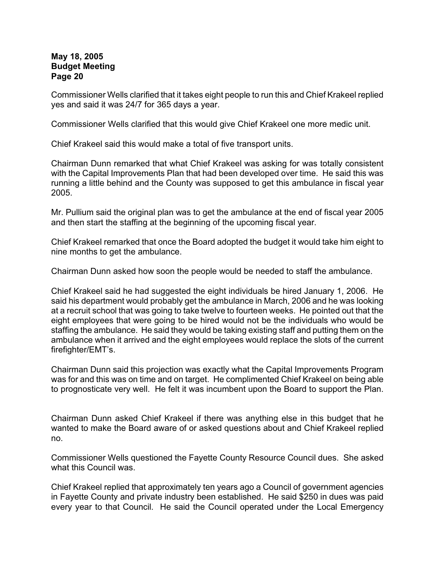Commissioner Wells clarified that it takes eight people to run this and Chief Krakeel replied yes and said it was 24/7 for 365 days a year.

Commissioner Wells clarified that this would give Chief Krakeel one more medic unit.

Chief Krakeel said this would make a total of five transport units.

Chairman Dunn remarked that what Chief Krakeel was asking for was totally consistent with the Capital Improvements Plan that had been developed over time. He said this was running a little behind and the County was supposed to get this ambulance in fiscal year 2005.

Mr. Pullium said the original plan was to get the ambulance at the end of fiscal year 2005 and then start the staffing at the beginning of the upcoming fiscal year.

Chief Krakeel remarked that once the Board adopted the budget it would take him eight to nine months to get the ambulance.

Chairman Dunn asked how soon the people would be needed to staff the ambulance.

Chief Krakeel said he had suggested the eight individuals be hired January 1, 2006. He said his department would probably get the ambulance in March, 2006 and he was looking at a recruit school that was going to take twelve to fourteen weeks. He pointed out that the eight employees that were going to be hired would not be the individuals who would be staffing the ambulance. He said they would be taking existing staff and putting them on the ambulance when it arrived and the eight employees would replace the slots of the current firefighter/EMT's.

Chairman Dunn said this projection was exactly what the Capital Improvements Program was for and this was on time and on target. He complimented Chief Krakeel on being able to prognosticate very well. He felt it was incumbent upon the Board to support the Plan.

Chairman Dunn asked Chief Krakeel if there was anything else in this budget that he wanted to make the Board aware of or asked questions about and Chief Krakeel replied no.

Commissioner Wells questioned the Fayette County Resource Council dues. She asked what this Council was.

Chief Krakeel replied that approximately ten years ago a Council of government agencies in Fayette County and private industry been established. He said \$250 in dues was paid every year to that Council. He said the Council operated under the Local Emergency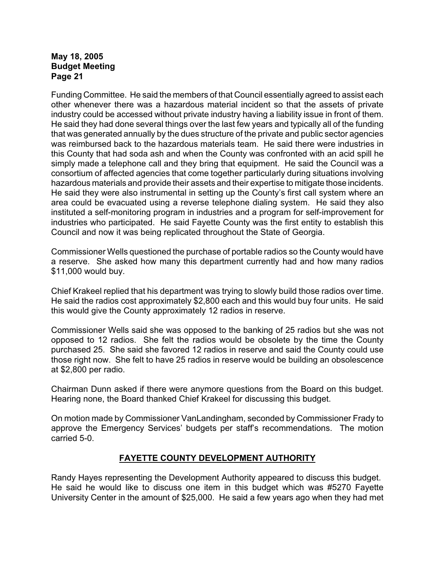Funding Committee. He said the members of that Council essentially agreed to assist each other whenever there was a hazardous material incident so that the assets of private industry could be accessed without private industry having a liability issue in front of them. He said they had done several things over the last few years and typically all of the funding that was generated annually by the dues structure of the private and public sector agencies was reimbursed back to the hazardous materials team. He said there were industries in this County that had soda ash and when the County was confronted with an acid spill he simply made a telephone call and they bring that equipment. He said the Council was a consortium of affected agencies that come together particularly during situations involving hazardous materials and provide their assets and their expertise to mitigate those incidents. He said they were also instrumental in setting up the County's first call system where an area could be evacuated using a reverse telephone dialing system. He said they also instituted a self-monitoring program in industries and a program for self-improvement for industries who participated. He said Fayette County was the first entity to establish this Council and now it was being replicated throughout the State of Georgia.

Commissioner Wells questioned the purchase of portable radios so the County would have a reserve. She asked how many this department currently had and how many radios \$11,000 would buy.

Chief Krakeel replied that his department was trying to slowly build those radios over time. He said the radios cost approximately \$2,800 each and this would buy four units. He said this would give the County approximately 12 radios in reserve.

Commissioner Wells said she was opposed to the banking of 25 radios but she was not opposed to 12 radios. She felt the radios would be obsolete by the time the County purchased 25. She said she favored 12 radios in reserve and said the County could use those right now. She felt to have 25 radios in reserve would be building an obsolescence at \$2,800 per radio.

Chairman Dunn asked if there were anymore questions from the Board on this budget. Hearing none, the Board thanked Chief Krakeel for discussing this budget.

On motion made by Commissioner VanLandingham, seconded by Commissioner Frady to approve the Emergency Services' budgets per staff's recommendations. The motion carried 5-0.

# **FAYETTE COUNTY DEVELOPMENT AUTHORITY**

Randy Hayes representing the Development Authority appeared to discuss this budget. He said he would like to discuss one item in this budget which was #5270 Fayette University Center in the amount of \$25,000. He said a few years ago when they had met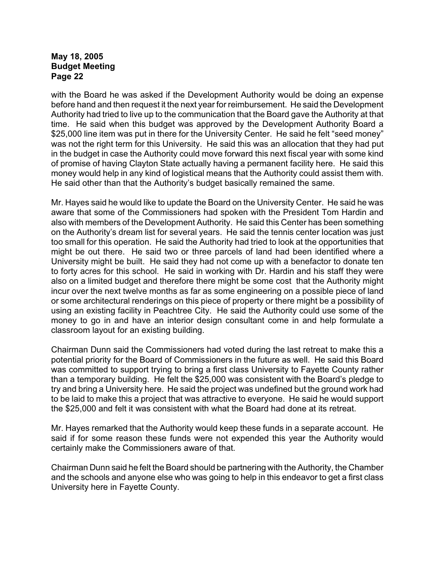with the Board he was asked if the Development Authority would be doing an expense before hand and then request it the next year for reimbursement. He said the Development Authority had tried to live up to the communication that the Board gave the Authority at that time. He said when this budget was approved by the Development Authority Board a \$25,000 line item was put in there for the University Center. He said he felt "seed money" was not the right term for this University. He said this was an allocation that they had put in the budget in case the Authority could move forward this next fiscal year with some kind of promise of having Clayton State actually having a permanent facility here. He said this money would help in any kind of logistical means that the Authority could assist them with. He said other than that the Authority's budget basically remained the same.

Mr. Hayes said he would like to update the Board on the University Center. He said he was aware that some of the Commissioners had spoken with the President Tom Hardin and also with members of the Development Authority. He said this Center has been something on the Authority's dream list for several years. He said the tennis center location was just too small for this operation. He said the Authority had tried to look at the opportunities that might be out there. He said two or three parcels of land had been identified where a University might be built. He said they had not come up with a benefactor to donate ten to forty acres for this school. He said in working with Dr. Hardin and his staff they were also on a limited budget and therefore there might be some cost that the Authority might incur over the next twelve months as far as some engineering on a possible piece of land or some architectural renderings on this piece of property or there might be a possibility of using an existing facility in Peachtree City. He said the Authority could use some of the money to go in and have an interior design consultant come in and help formulate a classroom layout for an existing building.

Chairman Dunn said the Commissioners had voted during the last retreat to make this a potential priority for the Board of Commissioners in the future as well. He said this Board was committed to support trying to bring a first class University to Fayette County rather than a temporary building. He felt the \$25,000 was consistent with the Board's pledge to try and bring a University here. He said the project was undefined but the ground work had to be laid to make this a project that was attractive to everyone. He said he would support the \$25,000 and felt it was consistent with what the Board had done at its retreat.

Mr. Hayes remarked that the Authority would keep these funds in a separate account. He said if for some reason these funds were not expended this year the Authority would certainly make the Commissioners aware of that.

Chairman Dunn said he felt the Board should be partnering with the Authority, the Chamber and the schools and anyone else who was going to help in this endeavor to get a first class University here in Fayette County.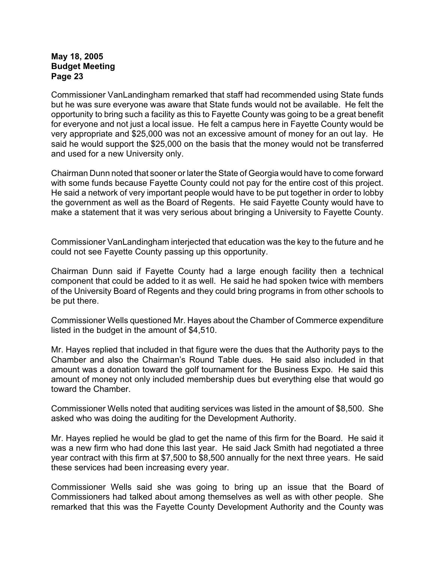Commissioner VanLandingham remarked that staff had recommended using State funds but he was sure everyone was aware that State funds would not be available. He felt the opportunity to bring such a facility as this to Fayette County was going to be a great benefit for everyone and not just a local issue. He felt a campus here in Fayette County would be very appropriate and \$25,000 was not an excessive amount of money for an out lay. He said he would support the \$25,000 on the basis that the money would not be transferred and used for a new University only.

Chairman Dunn noted that sooner or later the State of Georgia would have to come forward with some funds because Fayette County could not pay for the entire cost of this project. He said a network of very important people would have to be put together in order to lobby the government as well as the Board of Regents. He said Fayette County would have to make a statement that it was very serious about bringing a University to Fayette County.

Commissioner VanLandingham interjected that education was the key to the future and he could not see Fayette County passing up this opportunity.

Chairman Dunn said if Fayette County had a large enough facility then a technical component that could be added to it as well. He said he had spoken twice with members of the University Board of Regents and they could bring programs in from other schools to be put there.

Commissioner Wells questioned Mr. Hayes about the Chamber of Commerce expenditure listed in the budget in the amount of \$4,510.

Mr. Hayes replied that included in that figure were the dues that the Authority pays to the Chamber and also the Chairman's Round Table dues. He said also included in that amount was a donation toward the golf tournament for the Business Expo. He said this amount of money not only included membership dues but everything else that would go toward the Chamber.

Commissioner Wells noted that auditing services was listed in the amount of \$8,500. She asked who was doing the auditing for the Development Authority.

Mr. Hayes replied he would be glad to get the name of this firm for the Board. He said it was a new firm who had done this last year. He said Jack Smith had negotiated a three year contract with this firm at \$7,500 to \$8,500 annually for the next three years. He said these services had been increasing every year.

Commissioner Wells said she was going to bring up an issue that the Board of Commissioners had talked about among themselves as well as with other people. She remarked that this was the Fayette County Development Authority and the County was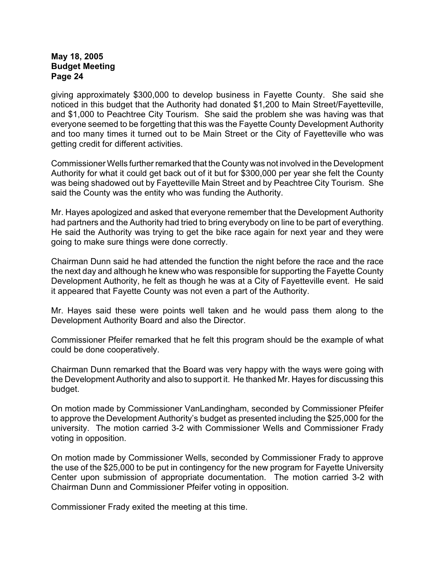giving approximately \$300,000 to develop business in Fayette County. She said she noticed in this budget that the Authority had donated \$1,200 to Main Street/Fayetteville, and \$1,000 to Peachtree City Tourism. She said the problem she was having was that everyone seemed to be forgetting that this was the Fayette County Development Authority and too many times it turned out to be Main Street or the City of Fayetteville who was getting credit for different activities.

Commissioner Wells further remarked that the County was not involved in the Development Authority for what it could get back out of it but for \$300,000 per year she felt the County was being shadowed out by Fayetteville Main Street and by Peachtree City Tourism. She said the County was the entity who was funding the Authority.

Mr. Hayes apologized and asked that everyone remember that the Development Authority had partners and the Authority had tried to bring everybody on line to be part of everything. He said the Authority was trying to get the bike race again for next year and they were going to make sure things were done correctly.

Chairman Dunn said he had attended the function the night before the race and the race the next day and although he knew who was responsible for supporting the Fayette County Development Authority, he felt as though he was at a City of Fayetteville event. He said it appeared that Fayette County was not even a part of the Authority.

Mr. Hayes said these were points well taken and he would pass them along to the Development Authority Board and also the Director.

Commissioner Pfeifer remarked that he felt this program should be the example of what could be done cooperatively.

Chairman Dunn remarked that the Board was very happy with the ways were going with the Development Authority and also to support it. He thanked Mr. Hayes for discussing this budget.

On motion made by Commissioner VanLandingham, seconded by Commissioner Pfeifer to approve the Development Authority's budget as presented including the \$25,000 for the university. The motion carried 3-2 with Commissioner Wells and Commissioner Frady voting in opposition.

On motion made by Commissioner Wells, seconded by Commissioner Frady to approve the use of the \$25,000 to be put in contingency for the new program for Fayette University Center upon submission of appropriate documentation. The motion carried 3-2 with Chairman Dunn and Commissioner Pfeifer voting in opposition.

Commissioner Frady exited the meeting at this time.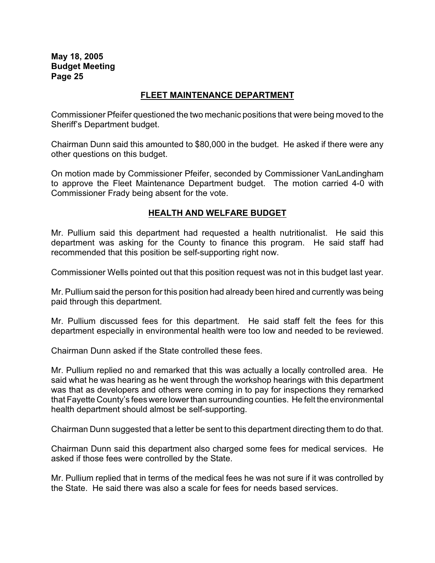#### **FLEET MAINTENANCE DEPARTMENT**

Commissioner Pfeifer questioned the two mechanic positions that were being moved to the Sheriff's Department budget.

Chairman Dunn said this amounted to \$80,000 in the budget. He asked if there were any other questions on this budget.

On motion made by Commissioner Pfeifer, seconded by Commissioner VanLandingham to approve the Fleet Maintenance Department budget. The motion carried 4-0 with Commissioner Frady being absent for the vote.

### **HEALTH AND WELFARE BUDGET**

Mr. Pullium said this department had requested a health nutritionalist. He said this department was asking for the County to finance this program. He said staff had recommended that this position be self-supporting right now.

Commissioner Wells pointed out that this position request was not in this budget last year.

Mr. Pullium said the person for this position had already been hired and currently was being paid through this department.

Mr. Pullium discussed fees for this department. He said staff felt the fees for this department especially in environmental health were too low and needed to be reviewed.

Chairman Dunn asked if the State controlled these fees.

Mr. Pullium replied no and remarked that this was actually a locally controlled area. He said what he was hearing as he went through the workshop hearings with this department was that as developers and others were coming in to pay for inspections they remarked that Fayette County's fees were lower than surrounding counties. He felt the environmental health department should almost be self-supporting.

Chairman Dunn suggested that a letter be sent to this department directing them to do that.

Chairman Dunn said this department also charged some fees for medical services. He asked if those fees were controlled by the State.

Mr. Pullium replied that in terms of the medical fees he was not sure if it was controlled by the State. He said there was also a scale for fees for needs based services.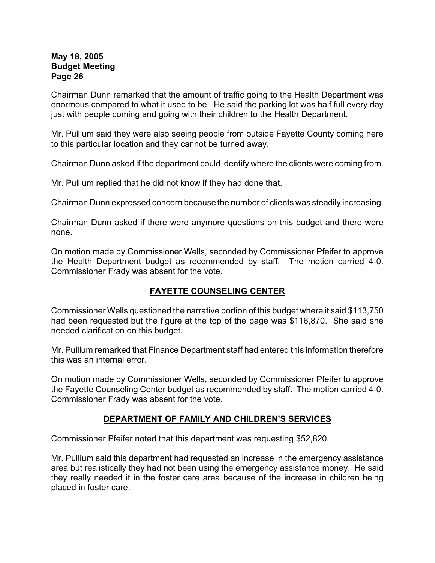Chairman Dunn remarked that the amount of traffic going to the Health Department was enormous compared to what it used to be. He said the parking lot was half full every day just with people coming and going with their children to the Health Department.

Mr. Pullium said they were also seeing people from outside Fayette County coming here to this particular location and they cannot be turned away.

Chairman Dunn asked if the department could identify where the clients were coming from.

Mr. Pullium replied that he did not know if they had done that.

Chairman Dunn expressed concern because the number of clients was steadily increasing.

Chairman Dunn asked if there were anymore questions on this budget and there were none.

On motion made by Commissioner Wells, seconded by Commissioner Pfeifer to approve the Health Department budget as recommended by staff. The motion carried 4-0. Commissioner Frady was absent for the vote.

# **FAYETTE COUNSELING CENTER**

Commissioner Wells questioned the narrative portion of this budget where it said \$113,750 had been requested but the figure at the top of the page was \$116,870. She said she needed clarification on this budget.

Mr. Pullium remarked that Finance Department staff had entered this information therefore this was an internal error.

On motion made by Commissioner Wells, seconded by Commissioner Pfeifer to approve the Fayette Counseling Center budget as recommended by staff. The motion carried 4-0. Commissioner Frady was absent for the vote.

### **DEPARTMENT OF FAMILY AND CHILDREN'S SERVICES**

Commissioner Pfeifer noted that this department was requesting \$52,820.

Mr. Pullium said this department had requested an increase in the emergency assistance area but realistically they had not been using the emergency assistance money. He said they really needed it in the foster care area because of the increase in children being placed in foster care.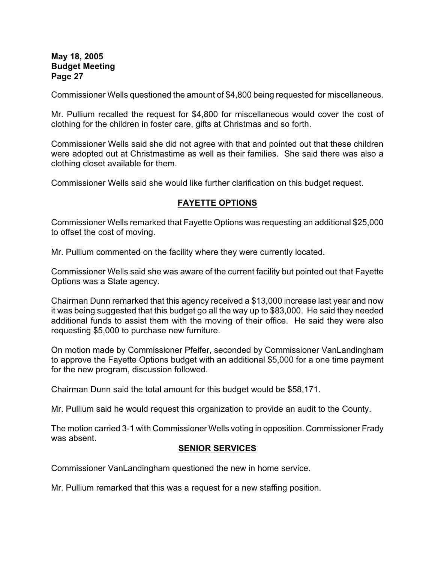Commissioner Wells questioned the amount of \$4,800 being requested for miscellaneous.

Mr. Pullium recalled the request for \$4,800 for miscellaneous would cover the cost of clothing for the children in foster care, gifts at Christmas and so forth.

Commissioner Wells said she did not agree with that and pointed out that these children were adopted out at Christmastime as well as their families. She said there was also a clothing closet available for them.

Commissioner Wells said she would like further clarification on this budget request.

### **FAYETTE OPTIONS**

Commissioner Wells remarked that Fayette Options was requesting an additional \$25,000 to offset the cost of moving.

Mr. Pullium commented on the facility where they were currently located.

Commissioner Wells said she was aware of the current facility but pointed out that Fayette Options was a State agency.

Chairman Dunn remarked that this agency received a \$13,000 increase last year and now it was being suggested that this budget go all the way up to \$83,000. He said they needed additional funds to assist them with the moving of their office. He said they were also requesting \$5,000 to purchase new furniture.

On motion made by Commissioner Pfeifer, seconded by Commissioner VanLandingham to approve the Fayette Options budget with an additional \$5,000 for a one time payment for the new program, discussion followed.

Chairman Dunn said the total amount for this budget would be \$58,171.

Mr. Pullium said he would request this organization to provide an audit to the County.

The motion carried 3-1 with Commissioner Wells voting in opposition. Commissioner Frady was absent.

### **SENIOR SERVICES**

Commissioner VanLandingham questioned the new in home service.

Mr. Pullium remarked that this was a request for a new staffing position.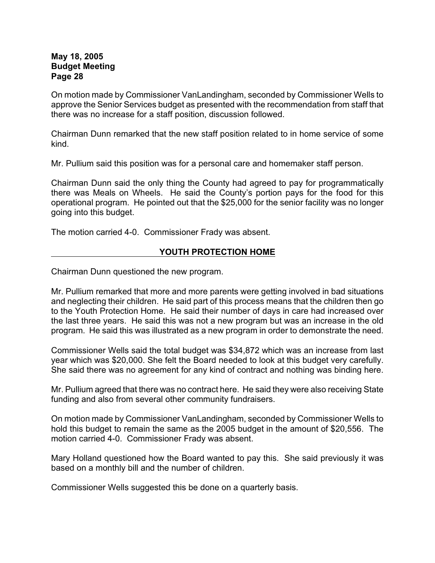On motion made by Commissioner VanLandingham, seconded by Commissioner Wells to approve the Senior Services budget as presented with the recommendation from staff that there was no increase for a staff position, discussion followed.

Chairman Dunn remarked that the new staff position related to in home service of some kind.

Mr. Pullium said this position was for a personal care and homemaker staff person.

Chairman Dunn said the only thing the County had agreed to pay for programmatically there was Meals on Wheels. He said the County's portion pays for the food for this operational program. He pointed out that the \$25,000 for the senior facility was no longer going into this budget.

The motion carried 4-0. Commissioner Frady was absent.

# **YOUTH PROTECTION HOME**

Chairman Dunn questioned the new program.

Mr. Pullium remarked that more and more parents were getting involved in bad situations and neglecting their children. He said part of this process means that the children then go to the Youth Protection Home. He said their number of days in care had increased over the last three years. He said this was not a new program but was an increase in the old program. He said this was illustrated as a new program in order to demonstrate the need.

Commissioner Wells said the total budget was \$34,872 which was an increase from last year which was \$20,000. She felt the Board needed to look at this budget very carefully. She said there was no agreement for any kind of contract and nothing was binding here.

Mr. Pullium agreed that there was no contract here. He said they were also receiving State funding and also from several other community fundraisers.

On motion made by Commissioner VanLandingham, seconded by Commissioner Wells to hold this budget to remain the same as the 2005 budget in the amount of \$20,556. The motion carried 4-0. Commissioner Frady was absent.

Mary Holland questioned how the Board wanted to pay this. She said previously it was based on a monthly bill and the number of children.

Commissioner Wells suggested this be done on a quarterly basis.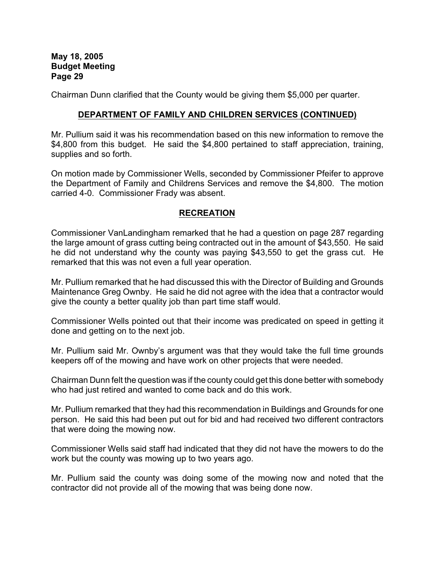Chairman Dunn clarified that the County would be giving them \$5,000 per quarter.

#### **DEPARTMENT OF FAMILY AND CHILDREN SERVICES (CONTINUED)**

Mr. Pullium said it was his recommendation based on this new information to remove the \$4,800 from this budget. He said the \$4,800 pertained to staff appreciation, training, supplies and so forth.

On motion made by Commissioner Wells, seconded by Commissioner Pfeifer to approve the Department of Family and Childrens Services and remove the \$4,800. The motion carried 4-0. Commissioner Frady was absent.

#### **RECREATION**

Commissioner VanLandingham remarked that he had a question on page 287 regarding the large amount of grass cutting being contracted out in the amount of \$43,550. He said he did not understand why the county was paying \$43,550 to get the grass cut. He remarked that this was not even a full year operation.

Mr. Pullium remarked that he had discussed this with the Director of Building and Grounds Maintenance Greg Ownby. He said he did not agree with the idea that a contractor would give the county a better quality job than part time staff would.

Commissioner Wells pointed out that their income was predicated on speed in getting it done and getting on to the next job.

Mr. Pullium said Mr. Ownby's argument was that they would take the full time grounds keepers off of the mowing and have work on other projects that were needed.

Chairman Dunn felt the question was if the county could get this done better with somebody who had just retired and wanted to come back and do this work.

Mr. Pullium remarked that they had this recommendation in Buildings and Grounds for one person. He said this had been put out for bid and had received two different contractors that were doing the mowing now.

Commissioner Wells said staff had indicated that they did not have the mowers to do the work but the county was mowing up to two years ago.

Mr. Pullium said the county was doing some of the mowing now and noted that the contractor did not provide all of the mowing that was being done now.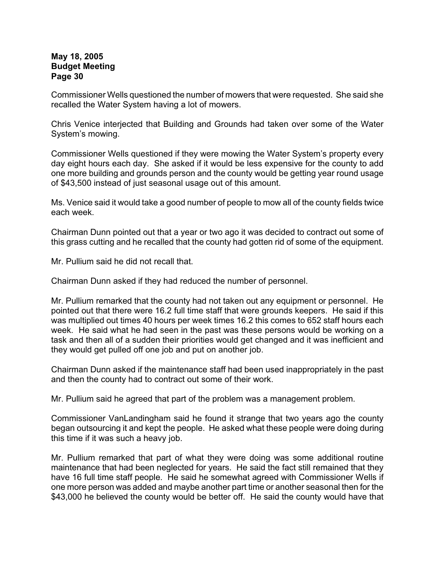Commissioner Wells questioned the number of mowers that were requested. She said she recalled the Water System having a lot of mowers.

Chris Venice interjected that Building and Grounds had taken over some of the Water System's mowing.

Commissioner Wells questioned if they were mowing the Water System's property every day eight hours each day. She asked if it would be less expensive for the county to add one more building and grounds person and the county would be getting year round usage of \$43,500 instead of just seasonal usage out of this amount.

Ms. Venice said it would take a good number of people to mow all of the county fields twice each week.

Chairman Dunn pointed out that a year or two ago it was decided to contract out some of this grass cutting and he recalled that the county had gotten rid of some of the equipment.

Mr. Pullium said he did not recall that.

Chairman Dunn asked if they had reduced the number of personnel.

Mr. Pullium remarked that the county had not taken out any equipment or personnel. He pointed out that there were 16.2 full time staff that were grounds keepers. He said if this was multiplied out times 40 hours per week times 16.2 this comes to 652 staff hours each week. He said what he had seen in the past was these persons would be working on a task and then all of a sudden their priorities would get changed and it was inefficient and they would get pulled off one job and put on another job.

Chairman Dunn asked if the maintenance staff had been used inappropriately in the past and then the county had to contract out some of their work.

Mr. Pullium said he agreed that part of the problem was a management problem.

Commissioner VanLandingham said he found it strange that two years ago the county began outsourcing it and kept the people. He asked what these people were doing during this time if it was such a heavy job.

Mr. Pullium remarked that part of what they were doing was some additional routine maintenance that had been neglected for years. He said the fact still remained that they have 16 full time staff people. He said he somewhat agreed with Commissioner Wells if one more person was added and maybe another part time or another seasonal then for the \$43,000 he believed the county would be better off. He said the county would have that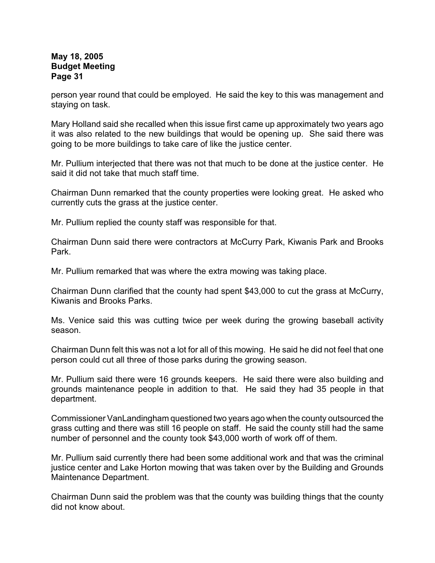person year round that could be employed. He said the key to this was management and staying on task.

Mary Holland said she recalled when this issue first came up approximately two years ago it was also related to the new buildings that would be opening up. She said there was going to be more buildings to take care of like the justice center.

Mr. Pullium interjected that there was not that much to be done at the justice center. He said it did not take that much staff time.

Chairman Dunn remarked that the county properties were looking great. He asked who currently cuts the grass at the justice center.

Mr. Pullium replied the county staff was responsible for that.

Chairman Dunn said there were contractors at McCurry Park, Kiwanis Park and Brooks Park.

Mr. Pullium remarked that was where the extra mowing was taking place.

Chairman Dunn clarified that the county had spent \$43,000 to cut the grass at McCurry, Kiwanis and Brooks Parks.

Ms. Venice said this was cutting twice per week during the growing baseball activity season.

Chairman Dunn felt this was not a lot for all of this mowing. He said he did not feel that one person could cut all three of those parks during the growing season.

Mr. Pullium said there were 16 grounds keepers. He said there were also building and grounds maintenance people in addition to that. He said they had 35 people in that department.

Commissioner VanLandingham questioned two years ago when the county outsourced the grass cutting and there was still 16 people on staff. He said the county still had the same number of personnel and the county took \$43,000 worth of work off of them.

Mr. Pullium said currently there had been some additional work and that was the criminal justice center and Lake Horton mowing that was taken over by the Building and Grounds Maintenance Department.

Chairman Dunn said the problem was that the county was building things that the county did not know about.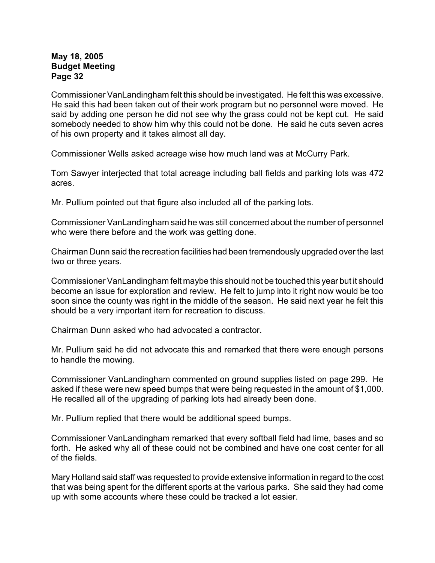Commissioner VanLandingham felt this should be investigated. He felt this was excessive. He said this had been taken out of their work program but no personnel were moved. He said by adding one person he did not see why the grass could not be kept cut. He said somebody needed to show him why this could not be done. He said he cuts seven acres of his own property and it takes almost all day.

Commissioner Wells asked acreage wise how much land was at McCurry Park.

Tom Sawyer interjected that total acreage including ball fields and parking lots was 472 acres.

Mr. Pullium pointed out that figure also included all of the parking lots.

Commissioner VanLandingham said he was still concerned about the number of personnel who were there before and the work was getting done.

Chairman Dunn said the recreation facilities had been tremendously upgraded over the last two or three years.

Commissioner VanLandingham felt maybe this should not be touched this year but it should become an issue for exploration and review. He felt to jump into it right now would be too soon since the county was right in the middle of the season. He said next year he felt this should be a very important item for recreation to discuss.

Chairman Dunn asked who had advocated a contractor.

Mr. Pullium said he did not advocate this and remarked that there were enough persons to handle the mowing.

Commissioner VanLandingham commented on ground supplies listed on page 299. He asked if these were new speed bumps that were being requested in the amount of \$1,000. He recalled all of the upgrading of parking lots had already been done.

Mr. Pullium replied that there would be additional speed bumps.

Commissioner VanLandingham remarked that every softball field had lime, bases and so forth. He asked why all of these could not be combined and have one cost center for all of the fields.

Mary Holland said staff was requested to provide extensive information in regard to the cost that was being spent for the different sports at the various parks. She said they had come up with some accounts where these could be tracked a lot easier.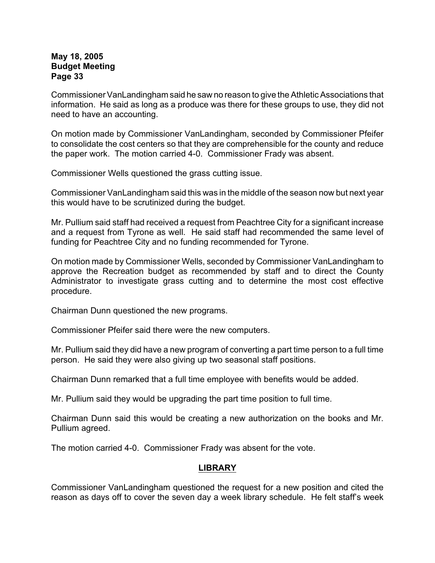Commissioner VanLandingham said he saw no reason to give the Athletic Associations that information. He said as long as a produce was there for these groups to use, they did not need to have an accounting.

On motion made by Commissioner VanLandingham, seconded by Commissioner Pfeifer to consolidate the cost centers so that they are comprehensible for the county and reduce the paper work. The motion carried 4-0. Commissioner Frady was absent.

Commissioner Wells questioned the grass cutting issue.

Commissioner VanLandingham said this was in the middle of the season now but next year this would have to be scrutinized during the budget.

Mr. Pullium said staff had received a request from Peachtree City for a significant increase and a request from Tyrone as well. He said staff had recommended the same level of funding for Peachtree City and no funding recommended for Tyrone.

On motion made by Commissioner Wells, seconded by Commissioner VanLandingham to approve the Recreation budget as recommended by staff and to direct the County Administrator to investigate grass cutting and to determine the most cost effective procedure.

Chairman Dunn questioned the new programs.

Commissioner Pfeifer said there were the new computers.

Mr. Pullium said they did have a new program of converting a part time person to a full time person. He said they were also giving up two seasonal staff positions.

Chairman Dunn remarked that a full time employee with benefits would be added.

Mr. Pullium said they would be upgrading the part time position to full time.

Chairman Dunn said this would be creating a new authorization on the books and Mr. Pullium agreed.

The motion carried 4-0. Commissioner Frady was absent for the vote.

### **LIBRARY**

Commissioner VanLandingham questioned the request for a new position and cited the reason as days off to cover the seven day a week library schedule. He felt staff's week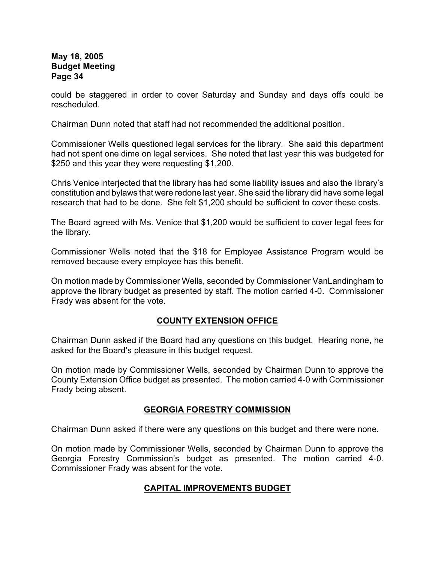could be staggered in order to cover Saturday and Sunday and days offs could be rescheduled.

Chairman Dunn noted that staff had not recommended the additional position.

Commissioner Wells questioned legal services for the library. She said this department had not spent one dime on legal services. She noted that last year this was budgeted for \$250 and this year they were requesting \$1,200.

Chris Venice interjected that the library has had some liability issues and also the library's constitution and bylaws that were redone last year. She said the library did have some legal research that had to be done. She felt \$1,200 should be sufficient to cover these costs.

The Board agreed with Ms. Venice that \$1,200 would be sufficient to cover legal fees for the library.

Commissioner Wells noted that the \$18 for Employee Assistance Program would be removed because every employee has this benefit.

On motion made by Commissioner Wells, seconded by Commissioner VanLandingham to approve the library budget as presented by staff. The motion carried 4-0. Commissioner Frady was absent for the vote.

# **COUNTY EXTENSION OFFICE**

Chairman Dunn asked if the Board had any questions on this budget. Hearing none, he asked for the Board's pleasure in this budget request.

On motion made by Commissioner Wells, seconded by Chairman Dunn to approve the County Extension Office budget as presented. The motion carried 4-0 with Commissioner Frady being absent.

### **GEORGIA FORESTRY COMMISSION**

Chairman Dunn asked if there were any questions on this budget and there were none.

On motion made by Commissioner Wells, seconded by Chairman Dunn to approve the Georgia Forestry Commission's budget as presented. The motion carried 4-0. Commissioner Frady was absent for the vote.

# **CAPITAL IMPROVEMENTS BUDGET**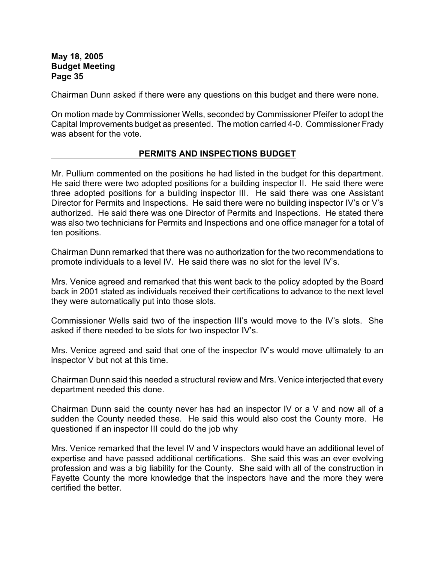Chairman Dunn asked if there were any questions on this budget and there were none.

On motion made by Commissioner Wells, seconded by Commissioner Pfeifer to adopt the Capital Improvements budget as presented. The motion carried 4-0. Commissioner Frady was absent for the vote.

### **PERMITS AND INSPECTIONS BUDGET**

Mr. Pullium commented on the positions he had listed in the budget for this department. He said there were two adopted positions for a building inspector II. He said there were three adopted positions for a building inspector III. He said there was one Assistant Director for Permits and Inspections. He said there were no building inspector IV's or V's authorized. He said there was one Director of Permits and Inspections. He stated there was also two technicians for Permits and Inspections and one office manager for a total of ten positions.

Chairman Dunn remarked that there was no authorization for the two recommendations to promote individuals to a level IV. He said there was no slot for the level IV's.

Mrs. Venice agreed and remarked that this went back to the policy adopted by the Board back in 2001 stated as individuals received their certifications to advance to the next level they were automatically put into those slots.

Commissioner Wells said two of the inspection III's would move to the IV's slots. She asked if there needed to be slots for two inspector IV's.

Mrs. Venice agreed and said that one of the inspector IV's would move ultimately to an inspector V but not at this time.

Chairman Dunn said this needed a structural review and Mrs. Venice interjected that every department needed this done.

Chairman Dunn said the county never has had an inspector IV or a V and now all of a sudden the County needed these. He said this would also cost the County more. He questioned if an inspector III could do the job why

Mrs. Venice remarked that the level IV and V inspectors would have an additional level of expertise and have passed additional certifications. She said this was an ever evolving profession and was a big liability for the County. She said with all of the construction in Fayette County the more knowledge that the inspectors have and the more they were certified the better.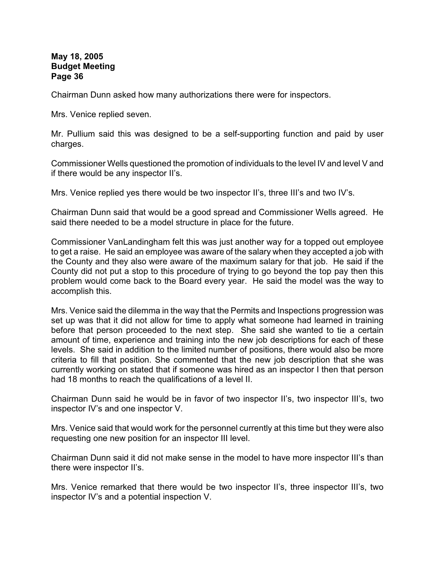Chairman Dunn asked how many authorizations there were for inspectors.

Mrs. Venice replied seven.

Mr. Pullium said this was designed to be a self-supporting function and paid by user charges.

Commissioner Wells questioned the promotion of individuals to the level IV and level V and if there would be any inspector II's.

Mrs. Venice replied yes there would be two inspector II's, three III's and two IV's.

Chairman Dunn said that would be a good spread and Commissioner Wells agreed. He said there needed to be a model structure in place for the future.

Commissioner VanLandingham felt this was just another way for a topped out employee to get a raise. He said an employee was aware of the salary when they accepted a job with the County and they also were aware of the maximum salary for that job. He said if the County did not put a stop to this procedure of trying to go beyond the top pay then this problem would come back to the Board every year. He said the model was the way to accomplish this.

Mrs. Venice said the dilemma in the way that the Permits and Inspections progression was set up was that it did not allow for time to apply what someone had learned in training before that person proceeded to the next step. She said she wanted to tie a certain amount of time, experience and training into the new job descriptions for each of these levels. She said in addition to the limited number of positions, there would also be more criteria to fill that position. She commented that the new job description that she was currently working on stated that if someone was hired as an inspector I then that person had 18 months to reach the qualifications of a level II.

Chairman Dunn said he would be in favor of two inspector II's, two inspector III's, two inspector IV's and one inspector V.

Mrs. Venice said that would work for the personnel currently at this time but they were also requesting one new position for an inspector III level.

Chairman Dunn said it did not make sense in the model to have more inspector III's than there were inspector II's.

Mrs. Venice remarked that there would be two inspector II's, three inspector III's, two inspector IV's and a potential inspection V.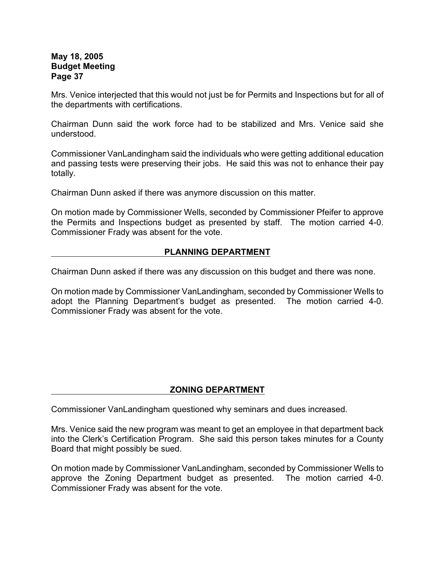Mrs. Venice interjected that this would not just be for Permits and Inspections but for all of the departments with certifications.

Chairman Dunn said the work force had to be stabilized and Mrs. Venice said she understood.

Commissioner VanLandingham said the individuals who were getting additional education and passing tests were preserving their jobs. He said this was not to enhance their pay totally.

Chairman Dunn asked if there was anymore discussion on this matter.

On motion made by Commissioner Wells, seconded by Commissioner Pfeifer to approve the Permits and Inspections budget as presented by staff. The motion carried 4-0. Commissioner Frady was absent for the vote.

### **PLANNING DEPARTMENT**

Chairman Dunn asked if there was any discussion on this budget and there was none.

On motion made by Commissioner VanLandingham, seconded by Commissioner Wells to adopt the Planning Department's budget as presented. The motion carried 4-0. Commissioner Frady was absent for the vote.

# **ZONING DEPARTMENT**

Commissioner VanLandingham questioned why seminars and dues increased.

Mrs. Venice said the new program was meant to get an employee in that department back into the Clerk's Certification Program. She said this person takes minutes for a County Board that might possibly be sued.

On motion made by Commissioner VanLandingham, seconded by Commissioner Wells to approve the Zoning Department budget as presented. The motion carried 4-0. Commissioner Frady was absent for the vote.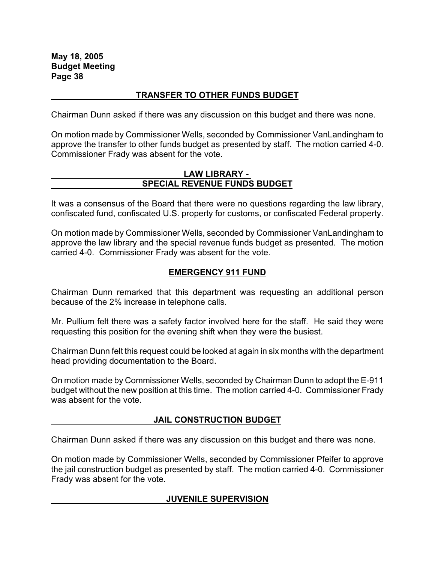#### **TRANSFER TO OTHER FUNDS BUDGET**

Chairman Dunn asked if there was any discussion on this budget and there was none.

On motion made by Commissioner Wells, seconded by Commissioner VanLandingham to approve the transfer to other funds budget as presented by staff. The motion carried 4-0. Commissioner Frady was absent for the vote.

#### **LAW LIBRARY - SPECIAL REVENUE FUNDS BUDGET**

It was a consensus of the Board that there were no questions regarding the law library, confiscated fund, confiscated U.S. property for customs, or confiscated Federal property.

On motion made by Commissioner Wells, seconded by Commissioner VanLandingham to approve the law library and the special revenue funds budget as presented. The motion carried 4-0. Commissioner Frady was absent for the vote.

### **EMERGENCY 911 FUND**

Chairman Dunn remarked that this department was requesting an additional person because of the 2% increase in telephone calls.

Mr. Pullium felt there was a safety factor involved here for the staff. He said they were requesting this position for the evening shift when they were the busiest.

Chairman Dunn felt this request could be looked at again in six months with the department head providing documentation to the Board.

On motion made by Commissioner Wells, seconded by Chairman Dunn to adopt the E-911 budget without the new position at this time. The motion carried 4-0. Commissioner Frady was absent for the vote.

# **JAIL CONSTRUCTION BUDGET**

Chairman Dunn asked if there was any discussion on this budget and there was none.

On motion made by Commissioner Wells, seconded by Commissioner Pfeifer to approve the jail construction budget as presented by staff. The motion carried 4-0. Commissioner Frady was absent for the vote.

### **JUVENILE SUPERVISION**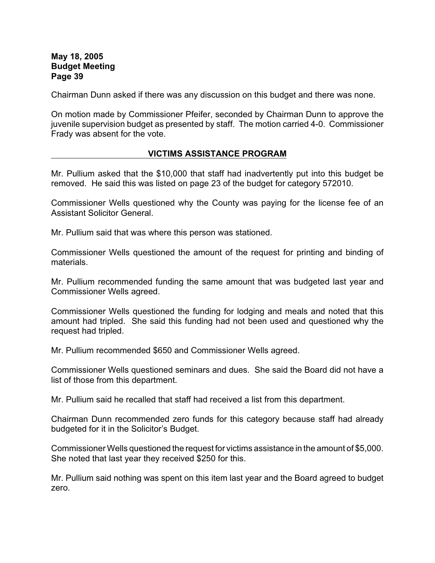Chairman Dunn asked if there was any discussion on this budget and there was none.

On motion made by Commissioner Pfeifer, seconded by Chairman Dunn to approve the juvenile supervision budget as presented by staff. The motion carried 4-0. Commissioner Frady was absent for the vote.

#### **VICTIMS ASSISTANCE PROGRAM**

Mr. Pullium asked that the \$10,000 that staff had inadvertently put into this budget be removed. He said this was listed on page 23 of the budget for category 572010.

Commissioner Wells questioned why the County was paying for the license fee of an Assistant Solicitor General.

Mr. Pullium said that was where this person was stationed.

Commissioner Wells questioned the amount of the request for printing and binding of materials.

Mr. Pullium recommended funding the same amount that was budgeted last year and Commissioner Wells agreed.

Commissioner Wells questioned the funding for lodging and meals and noted that this amount had tripled. She said this funding had not been used and questioned why the request had tripled.

Mr. Pullium recommended \$650 and Commissioner Wells agreed.

Commissioner Wells questioned seminars and dues. She said the Board did not have a list of those from this department.

Mr. Pullium said he recalled that staff had received a list from this department.

Chairman Dunn recommended zero funds for this category because staff had already budgeted for it in the Solicitor's Budget.

Commissioner Wells questioned the request for victims assistance in the amount of \$5,000. She noted that last year they received \$250 for this.

Mr. Pullium said nothing was spent on this item last year and the Board agreed to budget zero.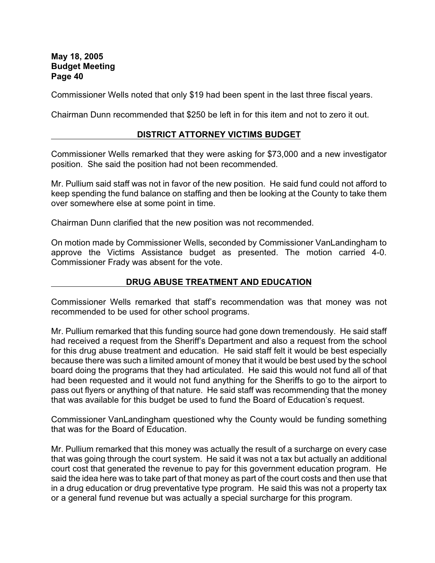Commissioner Wells noted that only \$19 had been spent in the last three fiscal years.

Chairman Dunn recommended that \$250 be left in for this item and not to zero it out.

### **DISTRICT ATTORNEY VICTIMS BUDGET**

Commissioner Wells remarked that they were asking for \$73,000 and a new investigator position. She said the position had not been recommended.

Mr. Pullium said staff was not in favor of the new position. He said fund could not afford to keep spending the fund balance on staffing and then be looking at the County to take them over somewhere else at some point in time.

Chairman Dunn clarified that the new position was not recommended.

On motion made by Commissioner Wells, seconded by Commissioner VanLandingham to approve the Victims Assistance budget as presented. The motion carried 4-0. Commissioner Frady was absent for the vote.

### **DRUG ABUSE TREATMENT AND EDUCATION**

Commissioner Wells remarked that staff's recommendation was that money was not recommended to be used for other school programs.

Mr. Pullium remarked that this funding source had gone down tremendously. He said staff had received a request from the Sheriff's Department and also a request from the school for this drug abuse treatment and education. He said staff felt it would be best especially because there was such a limited amount of money that it would be best used by the school board doing the programs that they had articulated. He said this would not fund all of that had been requested and it would not fund anything for the Sheriffs to go to the airport to pass out flyers or anything of that nature. He said staff was recommending that the money that was available for this budget be used to fund the Board of Education's request.

Commissioner VanLandingham questioned why the County would be funding something that was for the Board of Education.

Mr. Pullium remarked that this money was actually the result of a surcharge on every case that was going through the court system. He said it was not a tax but actually an additional court cost that generated the revenue to pay for this government education program. He said the idea here was to take part of that money as part of the court costs and then use that in a drug education or drug preventative type program. He said this was not a property tax or a general fund revenue but was actually a special surcharge for this program.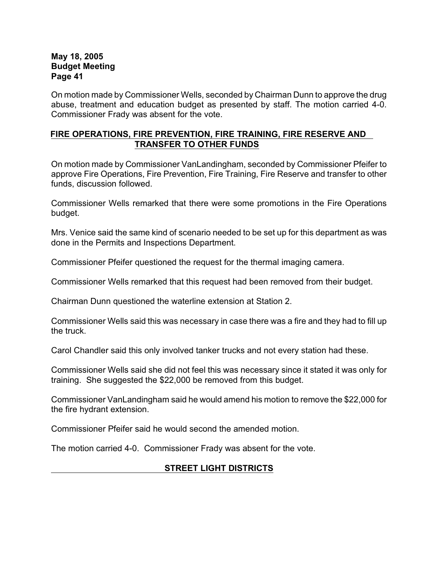On motion made by Commissioner Wells, seconded by Chairman Dunn to approve the drug abuse, treatment and education budget as presented by staff. The motion carried 4-0. Commissioner Frady was absent for the vote.

### **FIRE OPERATIONS, FIRE PREVENTION, FIRE TRAINING, FIRE RESERVE AND TRANSFER TO OTHER FUNDS**

On motion made by Commissioner VanLandingham, seconded by Commissioner Pfeifer to approve Fire Operations, Fire Prevention, Fire Training, Fire Reserve and transfer to other funds, discussion followed.

Commissioner Wells remarked that there were some promotions in the Fire Operations budget.

Mrs. Venice said the same kind of scenario needed to be set up for this department as was done in the Permits and Inspections Department.

Commissioner Pfeifer questioned the request for the thermal imaging camera.

Commissioner Wells remarked that this request had been removed from their budget.

Chairman Dunn questioned the waterline extension at Station 2.

Commissioner Wells said this was necessary in case there was a fire and they had to fill up the truck.

Carol Chandler said this only involved tanker trucks and not every station had these.

Commissioner Wells said she did not feel this was necessary since it stated it was only for training. She suggested the \$22,000 be removed from this budget.

Commissioner VanLandingham said he would amend his motion to remove the \$22,000 for the fire hydrant extension.

Commissioner Pfeifer said he would second the amended motion.

The motion carried 4-0. Commissioner Frady was absent for the vote.

# **STREET LIGHT DISTRICTS**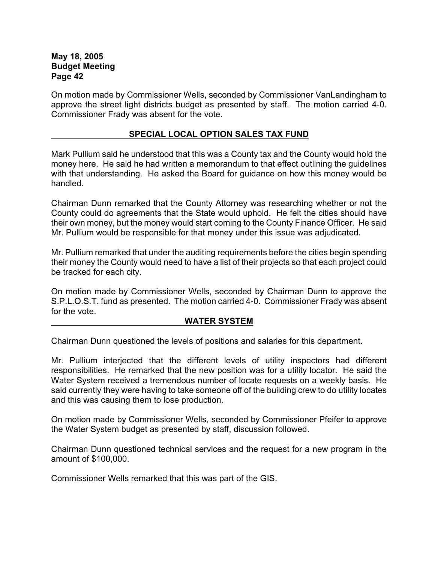On motion made by Commissioner Wells, seconded by Commissioner VanLandingham to approve the street light districts budget as presented by staff. The motion carried 4-0. Commissioner Frady was absent for the vote.

### **SPECIAL LOCAL OPTION SALES TAX FUND**

Mark Pullium said he understood that this was a County tax and the County would hold the money here. He said he had written a memorandum to that effect outlining the guidelines with that understanding. He asked the Board for guidance on how this money would be handled.

Chairman Dunn remarked that the County Attorney was researching whether or not the County could do agreements that the State would uphold. He felt the cities should have their own money, but the money would start coming to the County Finance Officer. He said Mr. Pullium would be responsible for that money under this issue was adjudicated.

Mr. Pullium remarked that under the auditing requirements before the cities begin spending their money the County would need to have a list of their projects so that each project could be tracked for each city.

On motion made by Commissioner Wells, seconded by Chairman Dunn to approve the S.P.L.O.S.T. fund as presented. The motion carried 4-0. Commissioner Frady was absent for the vote.

#### **WATER SYSTEM**

Chairman Dunn questioned the levels of positions and salaries for this department.

Mr. Pullium interjected that the different levels of utility inspectors had different responsibilities. He remarked that the new position was for a utility locator. He said the Water System received a tremendous number of locate requests on a weekly basis. He said currently they were having to take someone off of the building crew to do utility locates and this was causing them to lose production.

On motion made by Commissioner Wells, seconded by Commissioner Pfeifer to approve the Water System budget as presented by staff, discussion followed.

Chairman Dunn questioned technical services and the request for a new program in the amount of \$100,000.

Commissioner Wells remarked that this was part of the GIS.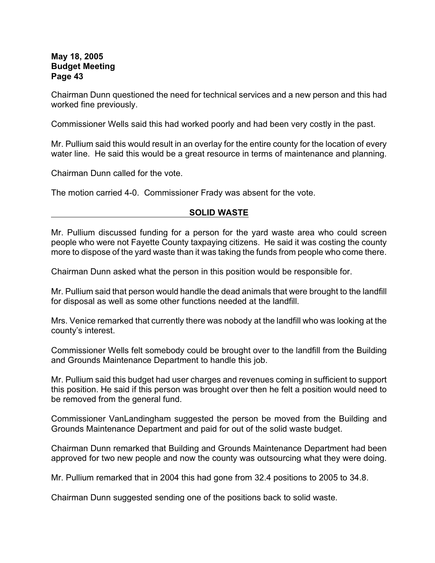Chairman Dunn questioned the need for technical services and a new person and this had worked fine previously.

Commissioner Wells said this had worked poorly and had been very costly in the past.

Mr. Pullium said this would result in an overlay for the entire county for the location of every water line. He said this would be a great resource in terms of maintenance and planning.

Chairman Dunn called for the vote.

The motion carried 4-0. Commissioner Frady was absent for the vote.

### **SOLID WASTE**

Mr. Pullium discussed funding for a person for the yard waste area who could screen people who were not Fayette County taxpaying citizens. He said it was costing the county more to dispose of the yard waste than it was taking the funds from people who come there.

Chairman Dunn asked what the person in this position would be responsible for.

Mr. Pullium said that person would handle the dead animals that were brought to the landfill for disposal as well as some other functions needed at the landfill.

Mrs. Venice remarked that currently there was nobody at the landfill who was looking at the county's interest.

Commissioner Wells felt somebody could be brought over to the landfill from the Building and Grounds Maintenance Department to handle this job.

Mr. Pullium said this budget had user charges and revenues coming in sufficient to support this position. He said if this person was brought over then he felt a position would need to be removed from the general fund.

Commissioner VanLandingham suggested the person be moved from the Building and Grounds Maintenance Department and paid for out of the solid waste budget.

Chairman Dunn remarked that Building and Grounds Maintenance Department had been approved for two new people and now the county was outsourcing what they were doing.

Mr. Pullium remarked that in 2004 this had gone from 32.4 positions to 2005 to 34.8.

Chairman Dunn suggested sending one of the positions back to solid waste.